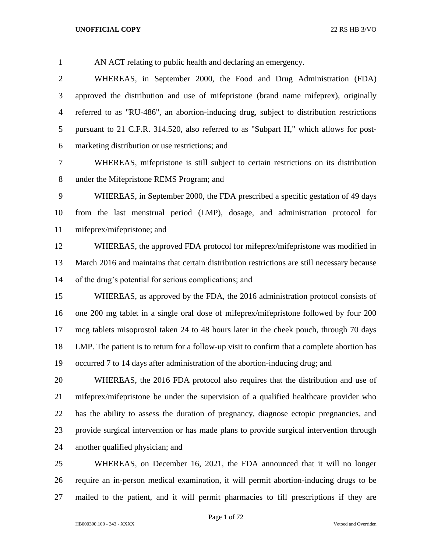AN ACT relating to public health and declaring an emergency.

 WHEREAS, in September 2000, the Food and Drug Administration (FDA) approved the distribution and use of mifepristone (brand name mifeprex), originally referred to as "RU-486", an abortion-inducing drug, subject to distribution restrictions pursuant to 21 C.F.R. 314.520, also referred to as "Subpart H," which allows for post-marketing distribution or use restrictions; and

 WHEREAS, mifepristone is still subject to certain restrictions on its distribution under the Mifepristone REMS Program; and

 WHEREAS, in September 2000, the FDA prescribed a specific gestation of 49 days from the last menstrual period (LMP), dosage, and administration protocol for mifeprex/mifepristone; and

 WHEREAS, the approved FDA protocol for mifeprex/mifepristone was modified in March 2016 and maintains that certain distribution restrictions are still necessary because of the drug's potential for serious complications; and

 WHEREAS, as approved by the FDA, the 2016 administration protocol consists of one 200 mg tablet in a single oral dose of mifeprex/mifepristone followed by four 200 mcg tablets misoprostol taken 24 to 48 hours later in the cheek pouch, through 70 days LMP. The patient is to return for a follow-up visit to confirm that a complete abortion has occurred 7 to 14 days after administration of the abortion-inducing drug; and

 WHEREAS, the 2016 FDA protocol also requires that the distribution and use of mifeprex/mifepristone be under the supervision of a qualified healthcare provider who has the ability to assess the duration of pregnancy, diagnose ectopic pregnancies, and provide surgical intervention or has made plans to provide surgical intervention through another qualified physician; and

 WHEREAS, on December 16, 2021, the FDA announced that it will no longer require an in-person medical examination, it will permit abortion-inducing drugs to be mailed to the patient, and it will permit pharmacies to fill prescriptions if they are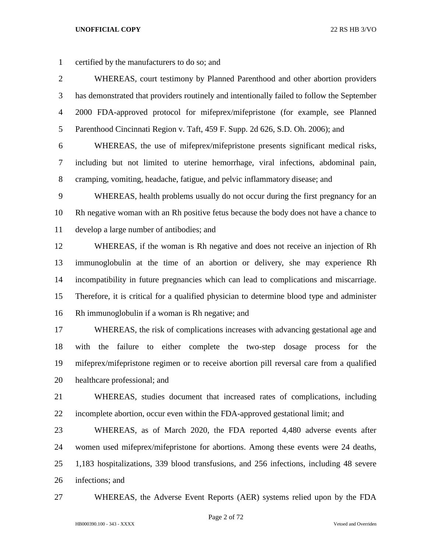| $\mathbf{1}$   | certified by the manufacturers to do so; and                                               |
|----------------|--------------------------------------------------------------------------------------------|
| $\overline{2}$ | WHEREAS, court testimony by Planned Parenthood and other abortion providers                |
| 3              | has demonstrated that providers routinely and intentionally failed to follow the September |
| $\overline{4}$ | 2000 FDA-approved protocol for mifeprex/mifepristone (for example, see Planned             |
| 5              | Parenthood Cincinnati Region v. Taft, 459 F. Supp. 2d 626, S.D. Oh. 2006); and             |
| 6              | WHEREAS, the use of mifeprex/mifepristone presents significant medical risks,              |
| 7              | including but not limited to uterine hemorrhage, viral infections, abdominal pain,         |
| 8              | cramping, vomiting, headache, fatigue, and pelvic inflammatory disease; and                |
| 9              | WHEREAS, health problems usually do not occur during the first pregnancy for an            |
| 10             | Rh negative woman with an Rh positive fetus because the body does not have a chance to     |
| 11             | develop a large number of antibodies; and                                                  |
| 12             | WHEREAS, if the woman is Rh negative and does not receive an injection of Rh               |
| 13             | immunoglobulin at the time of an abortion or delivery, she may experience Rh               |
| 14             | incompatibility in future pregnancies which can lead to complications and miscarriage.     |
| 15             | Therefore, it is critical for a qualified physician to determine blood type and administer |
| 16             | Rh immunoglobulin if a woman is Rh negative; and                                           |
| 17             | WHEREAS, the risk of complications increases with advancing gestational age and            |
| 18             | either complete the two-step dosage process<br>with<br>the<br>failure<br>to<br>for the     |
| 19             | mifeprex/mifepristone regimen or to receive abortion pill reversal care from a qualified   |
| 20             | healthcare professional; and                                                               |
| 21             | WHEREAS, studies document that increased rates of complications, including                 |
| 22             | incomplete abortion, occur even within the FDA-approved gestational limit; and             |
| 23             | WHEREAS, as of March 2020, the FDA reported 4,480 adverse events after                     |
| 24             | women used mifeprex/mifepristone for abortions. Among these events were 24 deaths,         |
| 25             | 1,183 hospitalizations, 339 blood transfusions, and 256 infections, including 48 severe    |
| 26             | infections; and                                                                            |

WHEREAS, the Adverse Event Reports (AER) systems relied upon by the FDA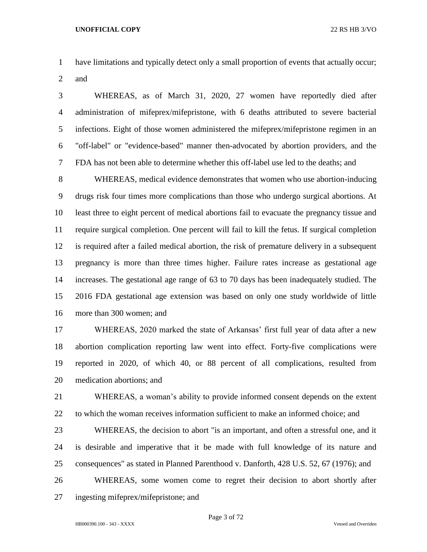have limitations and typically detect only a small proportion of events that actually occur; and

 WHEREAS, as of March 31, 2020, 27 women have reportedly died after administration of mifeprex/mifepristone, with 6 deaths attributed to severe bacterial infections. Eight of those women administered the mifeprex/mifepristone regimen in an "off-label" or "evidence-based" manner then-advocated by abortion providers, and the FDA has not been able to determine whether this off-label use led to the deaths; and

 WHEREAS, medical evidence demonstrates that women who use abortion-inducing drugs risk four times more complications than those who undergo surgical abortions. At least three to eight percent of medical abortions fail to evacuate the pregnancy tissue and require surgical completion. One percent will fail to kill the fetus. If surgical completion is required after a failed medical abortion, the risk of premature delivery in a subsequent pregnancy is more than three times higher. Failure rates increase as gestational age increases. The gestational age range of 63 to 70 days has been inadequately studied. The 2016 FDA gestational age extension was based on only one study worldwide of little more than 300 women; and

 WHEREAS, 2020 marked the state of Arkansas' first full year of data after a new abortion complication reporting law went into effect. Forty-five complications were reported in 2020, of which 40, or 88 percent of all complications, resulted from medication abortions; and

 WHEREAS, a woman's ability to provide informed consent depends on the extent to which the woman receives information sufficient to make an informed choice; and

 WHEREAS, the decision to abort "is an important, and often a stressful one, and it is desirable and imperative that it be made with full knowledge of its nature and consequences" as stated in Planned Parenthood v. Danforth, 428 U.S. 52, 67 (1976); and

 WHEREAS, some women come to regret their decision to abort shortly after ingesting mifeprex/mifepristone; and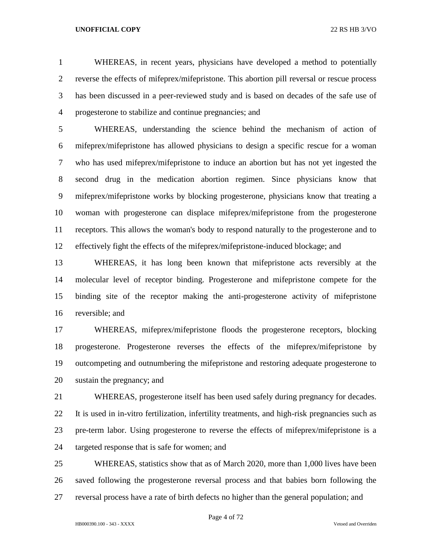WHEREAS, in recent years, physicians have developed a method to potentially reverse the effects of mifeprex/mifepristone. This abortion pill reversal or rescue process has been discussed in a peer-reviewed study and is based on decades of the safe use of progesterone to stabilize and continue pregnancies; and

 WHEREAS, understanding the science behind the mechanism of action of mifeprex/mifepristone has allowed physicians to design a specific rescue for a woman who has used mifeprex/mifepristone to induce an abortion but has not yet ingested the second drug in the medication abortion regimen. Since physicians know that mifeprex/mifepristone works by blocking progesterone, physicians know that treating a woman with progesterone can displace mifeprex/mifepristone from the progesterone receptors. This allows the woman's body to respond naturally to the progesterone and to effectively fight the effects of the mifeprex/mifepristone-induced blockage; and

 WHEREAS, it has long been known that mifepristone acts reversibly at the molecular level of receptor binding. Progesterone and mifepristone compete for the binding site of the receptor making the anti-progesterone activity of mifepristone reversible; and

 WHEREAS, mifeprex/mifepristone floods the progesterone receptors, blocking progesterone. Progesterone reverses the effects of the mifeprex/mifepristone by outcompeting and outnumbering the mifepristone and restoring adequate progesterone to sustain the pregnancy; and

 WHEREAS, progesterone itself has been used safely during pregnancy for decades. It is used in in-vitro fertilization, infertility treatments, and high-risk pregnancies such as pre-term labor. Using progesterone to reverse the effects of mifeprex/mifepristone is a targeted response that is safe for women; and

 WHEREAS, statistics show that as of March 2020, more than 1,000 lives have been saved following the progesterone reversal process and that babies born following the reversal process have a rate of birth defects no higher than the general population; and

Page 4 of 72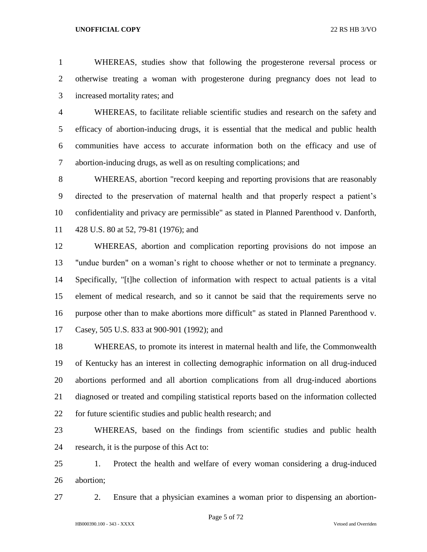WHEREAS, studies show that following the progesterone reversal process or otherwise treating a woman with progesterone during pregnancy does not lead to increased mortality rates; and

 WHEREAS, to facilitate reliable scientific studies and research on the safety and efficacy of abortion-inducing drugs, it is essential that the medical and public health communities have access to accurate information both on the efficacy and use of abortion-inducing drugs, as well as on resulting complications; and

 WHEREAS, abortion "record keeping and reporting provisions that are reasonably directed to the preservation of maternal health and that properly respect a patient's confidentiality and privacy are permissible" as stated in Planned Parenthood v. Danforth, 428 U.S. 80 at 52, 79-81 (1976); and

 WHEREAS, abortion and complication reporting provisions do not impose an "undue burden" on a woman's right to choose whether or not to terminate a pregnancy. Specifically, "[t]he collection of information with respect to actual patients is a vital element of medical research, and so it cannot be said that the requirements serve no purpose other than to make abortions more difficult" as stated in Planned Parenthood v. Casey, 505 U.S. 833 at 900-901 (1992); and

 WHEREAS, to promote its interest in maternal health and life, the Commonwealth of Kentucky has an interest in collecting demographic information on all drug-induced abortions performed and all abortion complications from all drug-induced abortions diagnosed or treated and compiling statistical reports based on the information collected for future scientific studies and public health research; and

 WHEREAS, based on the findings from scientific studies and public health research, it is the purpose of this Act to:

 1. Protect the health and welfare of every woman considering a drug-induced abortion;

2. Ensure that a physician examines a woman prior to dispensing an abortion-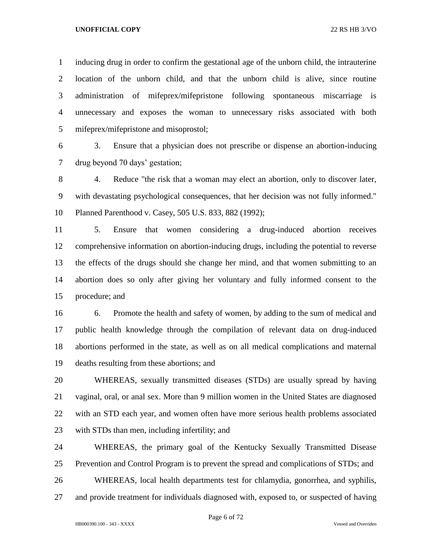inducing drug in order to confirm the gestational age of the unborn child, the intrauterine location of the unborn child, and that the unborn child is alive, since routine administration of mifeprex/mifepristone following spontaneous miscarriage is unnecessary and exposes the woman to unnecessary risks associated with both mifeprex/mifepristone and misoprostol;

 3. Ensure that a physician does not prescribe or dispense an abortion-inducing drug beyond 70 days' gestation;

 4. Reduce "the risk that a woman may elect an abortion, only to discover later, with devastating psychological consequences, that her decision was not fully informed." Planned Parenthood v. Casey, 505 U.S. 833, 882 (1992);

 5. Ensure that women considering a drug-induced abortion receives comprehensive information on abortion-inducing drugs, including the potential to reverse the effects of the drugs should she change her mind, and that women submitting to an abortion does so only after giving her voluntary and fully informed consent to the procedure; and

 6. Promote the health and safety of women, by adding to the sum of medical and public health knowledge through the compilation of relevant data on drug-induced abortions performed in the state, as well as on all medical complications and maternal deaths resulting from these abortions; and

 WHEREAS, sexually transmitted diseases (STDs) are usually spread by having vaginal, oral, or anal sex. More than 9 million women in the United States are diagnosed with an STD each year, and women often have more serious health problems associated with STDs than men, including infertility; and

 WHEREAS, the primary goal of the Kentucky Sexually Transmitted Disease Prevention and Control Program is to prevent the spread and complications of STDs; and

WHEREAS, local health departments test for chlamydia, gonorrhea, and syphilis,

and provide treatment for individuals diagnosed with, exposed to, or suspected of having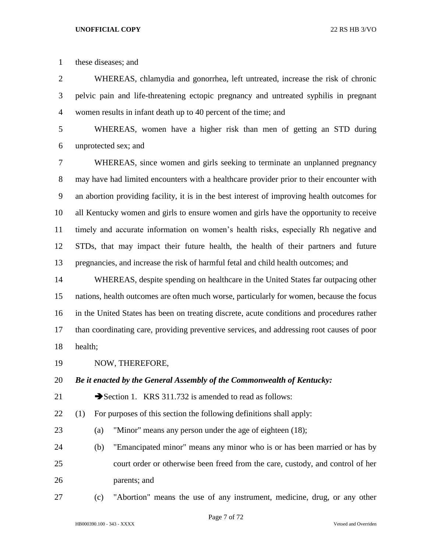these diseases; and

 WHEREAS, chlamydia and gonorrhea, left untreated, increase the risk of chronic pelvic pain and life-threatening ectopic pregnancy and untreated syphilis in pregnant women results in infant death up to 40 percent of the time; and

 WHEREAS, women have a higher risk than men of getting an STD during unprotected sex; and

 WHEREAS, since women and girls seeking to terminate an unplanned pregnancy may have had limited encounters with a healthcare provider prior to their encounter with an abortion providing facility, it is in the best interest of improving health outcomes for all Kentucky women and girls to ensure women and girls have the opportunity to receive timely and accurate information on women's health risks, especially Rh negative and STDs, that may impact their future health, the health of their partners and future pregnancies, and increase the risk of harmful fetal and child health outcomes; and

 WHEREAS, despite spending on healthcare in the United States far outpacing other nations, health outcomes are often much worse, particularly for women, because the focus in the United States has been on treating discrete, acute conditions and procedures rather than coordinating care, providing preventive services, and addressing root causes of poor health;

NOW, THEREFORE,

*Be it enacted by the General Assembly of the Commonwealth of Kentucky:*

21 Section 1. KRS 311.732 is amended to read as follows:

(1) For purposes of this section the following definitions shall apply:

- (a) "Minor" means any person under the age of eighteen (18);
- (b) "Emancipated minor" means any minor who is or has been married or has by court order or otherwise been freed from the care, custody, and control of her parents; and
- (c) "Abortion" means the use of any instrument, medicine, drug, or any other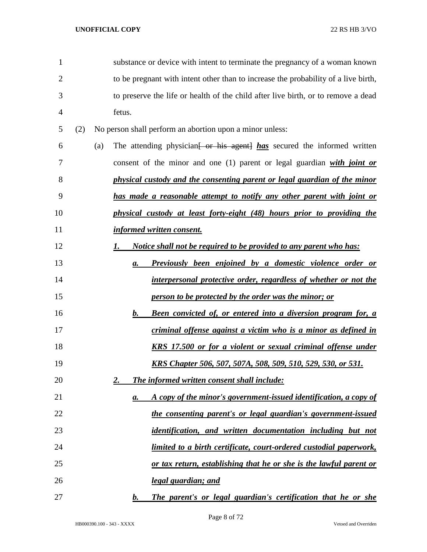| $\mathbf{1}$   |     |     |               | substance or device with intent to terminate the pregnancy of a woman known         |
|----------------|-----|-----|---------------|-------------------------------------------------------------------------------------|
| $\overline{2}$ |     |     |               | to be pregnant with intent other than to increase the probability of a live birth,  |
| 3              |     |     |               | to preserve the life or health of the child after live birth, or to remove a dead   |
| 4              |     |     | fetus.        |                                                                                     |
| 5              | (2) |     |               | No person shall perform an abortion upon a minor unless:                            |
| 6              |     | (a) |               | The attending physician <del>[ or his agent]</del> has secured the informed written |
| 7              |     |     |               | consent of the minor and one $(1)$ parent or legal guardian with joint or           |
| 8              |     |     |               | physical custody and the consenting parent or legal guardian of the minor           |
| 9              |     |     |               | has made a reasonable attempt to notify any other parent with joint or              |
| 10             |     |     |               | physical custody at least forty-eight (48) hours prior to providing the             |
| 11             |     |     |               | informed written consent.                                                           |
| 12             |     |     |               | <i>Notice shall not be required to be provided to any parent who has:</i>           |
| 13             |     |     | a.            | Previously been enjoined by a domestic violence order or                            |
| 14             |     |     |               | interpersonal protective order, regardless of whether or not the                    |
| 15             |     |     |               | person to be protected by the order was the minor; or                               |
| 16             |     |     | $\mathbf b$ . | <b>Been convicted of, or entered into a diversion program for, a</b>                |
| 17             |     |     |               | criminal offense against a victim who is a minor as defined in                      |
| 18             |     |     |               | <b>KRS</b> 17.500 or for a violent or sexual criminal offense under                 |
| 19             |     |     |               | <u>KRS Chapter 506, 507, 507A, 508, 509, 510, 529, 530, or 531.</u>                 |
| 20             |     |     | 2.            | The informed written consent shall include:                                         |
| 21             |     |     | а.            | A copy of the minor's government-issued identification, a copy of                   |
| 22             |     |     |               | the consenting parent's or legal guardian's government-issued                       |
| 23             |     |     |               | identification, and written documentation including but not                         |
| 24             |     |     |               | <u>limited to a birth certificate, court-ordered custodial paperwork,</u>           |
| 25             |     |     |               | or tax return, establishing that he or she is the lawful parent or                  |
| 26             |     |     |               | legal guardian; and                                                                 |
| 27             |     |     | $\bm{b}$ .    | The parent's or legal guardian's certification that he or she                       |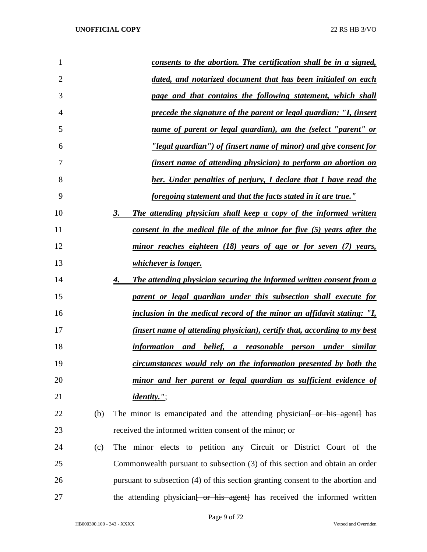| 1              | consents to the abortion. The certification shall be in a signed,                    |
|----------------|--------------------------------------------------------------------------------------|
| $\overline{2}$ | dated, and notarized document that has been initialed on each                        |
| 3              | page and that contains the following statement, which shall                          |
| 4              | precede the signature of the parent or legal guardian: "I, (insert                   |
| 5              | name of parent or legal guardian), am the (select "parent" or                        |
| 6              | "legal guardian") of (insert name of minor) and give consent for                     |
| 7              | <i>(insert name of attending physician) to perform an abortion on</i>                |
| 8              | <b>her.</b> Under penalties of perjury, I declare that I have read the               |
| 9              | foregoing statement and that the facts stated in it are true."                       |
| 10             | The attending physician shall keep a copy of the informed written<br>3.              |
| 11             | consent in the medical file of the minor for five (5) years after the                |
| 12             | minor reaches eighteen (18) years of age or for seven (7) years,                     |
| 13             | <i>whichever is longer.</i>                                                          |
| 14             | The attending physician securing the informed written consent from a<br>4.           |
| 15             | parent or legal guardian under this subsection shall execute for                     |
| 16             | inclusion in the medical record of the minor an affidavit stating: "I,               |
| 17             | (insert name of attending physician), certify that, according to my best             |
| 18             | information and belief, a reasonable person under similar                            |
| 19             | circumstances would rely on the information presented by both the                    |
| 20             | minor and her parent or legal guardian as sufficient evidence of                     |
| 21             | <i>identity."</i> ;                                                                  |
| 22<br>(b)      | The minor is emancipated and the attending physician for his agent has               |
| 23             | received the informed written consent of the minor; or                               |
| 24<br>(c)      | The minor elects to petition any Circuit or District Court of the                    |
| 25             | Commonwealth pursuant to subsection (3) of this section and obtain an order          |
| 26             | pursuant to subsection (4) of this section granting consent to the abortion and      |
| 27             | the attending physician <del>[ or his agent]</del> has received the informed written |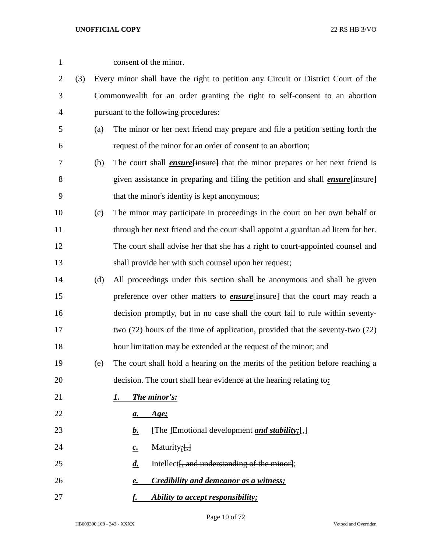| $\mathbf{1}$   |     |     | consent of the minor.                                                                  |
|----------------|-----|-----|----------------------------------------------------------------------------------------|
| $\overline{2}$ | (3) |     | Every minor shall have the right to petition any Circuit or District Court of the      |
| 3              |     |     | Commonwealth for an order granting the right to self-consent to an abortion            |
| $\overline{4}$ |     |     | pursuant to the following procedures:                                                  |
| 5              |     | (a) | The minor or her next friend may prepare and file a petition setting forth the         |
| 6              |     |     | request of the minor for an order of consent to an abortion;                           |
| 7              |     | (b) | The court shall <i>ensure</i> [insure] that the minor prepares or her next friend is   |
| 8              |     |     | given assistance in preparing and filing the petition and shall <i>ensure</i> [insure] |
| 9              |     |     | that the minor's identity is kept anonymous;                                           |
| 10             |     | (c) | The minor may participate in proceedings in the court on her own behalf or             |
| 11             |     |     | through her next friend and the court shall appoint a guardian ad litem for her.       |
| 12             |     |     | The court shall advise her that she has a right to court-appointed counsel and         |
| 13             |     |     | shall provide her with such counsel upon her request;                                  |
| 14             |     | (d) | All proceedings under this section shall be anonymous and shall be given               |
| 15             |     |     | preference over other matters to <b>ensure</b> {insure} that the court may reach a     |
| 16             |     |     | decision promptly, but in no case shall the court fail to rule within seventy-         |
| 17             |     |     | two $(72)$ hours of the time of application, provided that the seventy-two $(72)$      |
| 18             |     |     | hour limitation may be extended at the request of the minor; and                       |
| 19             |     | (e) | The court shall hold a hearing on the merits of the petition before reaching a         |
| 20             |     |     | decision. The court shall hear evidence at the hearing relating to:                    |
| 21             |     |     | The minor's:<br>I.                                                                     |
| 22             |     |     | <u>Age;</u><br><u>a.</u>                                                               |
| 23             |     |     | $\overline{f}$ The Emotional development and stability; $\overline{f}$ ,<br><u>b.</u>  |
| 24             |     |     | Maturity $;\left[ ,\right]$<br>$c_{\cdot}$                                             |
| 25             |     |     | Intellect, and understanding of the minor};<br>$\boldsymbol{d.}$                       |
| 26             |     |     | Credibility and demeanor as a witness;<br>e.                                           |
| 27             |     |     | Ability to accept responsibility;<br>f.                                                |

Page 10 of 72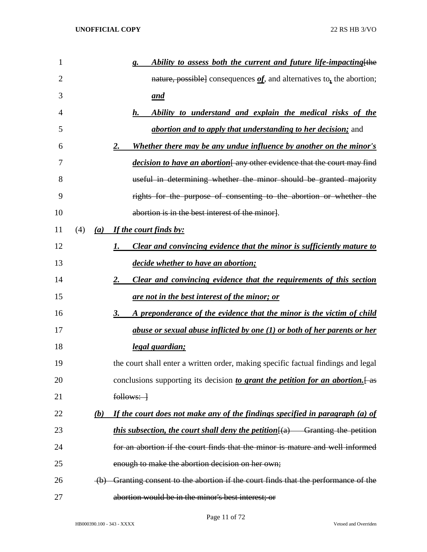| 1  |     |     | Ability to assess both the current and future life-impacting [the<br>g.                             |
|----|-----|-----|-----------------------------------------------------------------------------------------------------|
| 2  |     |     | nature, possible] consequences $of$ , and alternatives to, the abortion;                            |
| 3  |     |     | <u>and</u>                                                                                          |
| 4  |     |     | Ability to understand and explain the medical risks of the<br>$\boldsymbol{h}$ .                    |
| 5  |     |     | <i>abortion and to apply that understanding to her decision;</i> and                                |
| 6  |     |     | Whether there may be any undue influence by another on the minor's<br>2.                            |
| 7  |     |     | <i>decision to have an abortion</i> [any other evidence that the court may find                     |
| 8  |     |     | useful in determining whether the minor should be granted majority                                  |
| 9  |     |     | rights for the purpose of consenting to the abortion or whether the                                 |
| 10 |     |     | abortion is in the best interest of the minor].                                                     |
| 11 | (4) |     | (a) If the court finds by:                                                                          |
| 12 |     |     | Clear and convincing evidence that the minor is sufficiently mature to<br>1.                        |
| 13 |     |     | decide whether to have an abortion;                                                                 |
| 14 |     |     | Clear and convincing evidence that the requirements of this section<br><u>2.</u>                    |
| 15 |     |     | are not in the best interest of the minor; or                                                       |
| 16 |     |     | A preponderance of the evidence that the minor is the victim of child<br>3.                         |
| 17 |     |     | <u>abuse or sexual abuse inflicted by one (1) or both of her parents or her</u>                     |
| 18 |     |     | <u>legal guardian;</u>                                                                              |
| 19 |     |     | the court shall enter a written order, making specific factual findings and legal                   |
| 20 |     |     | conclusions supporting its decision to grant the petition for an abortion. [as                      |
| 21 |     |     | $follows:$ $\rightarrow$                                                                            |
| 22 |     | (b) | If the court does not make any of the findings specified in paragraph (a) of                        |
| 23 |     |     | <i>this subsection, the court shall deny the petition</i> $\frac{f(a)}{g(a)}$ Granting the petition |
| 24 |     |     | for an abortion if the court finds that the minor is mature and well informed                       |
| 25 |     |     | enough to make the abortion decision on her own;                                                    |
| 26 |     |     | (b) Granting consent to the abortion if the court finds that the performance of the                 |
| 27 |     |     | abortion would be in the minor's best interest; or                                                  |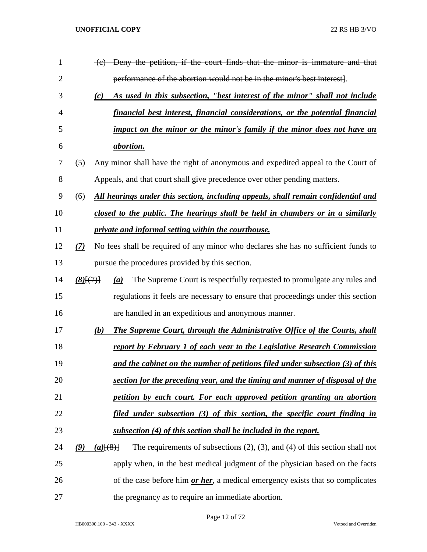| 1              |        | (c) Deny the petition, if the court finds that the minor is immature and that                        |
|----------------|--------|------------------------------------------------------------------------------------------------------|
| $\overline{2}$ |        | performance of the abortion would not be in the minor's best interest.                               |
| 3              |        | As used in this subsection, "best interest of the minor" shall not include<br>(c)                    |
| $\overline{4}$ |        | financial best interest, financial considerations, or the potential financial                        |
| 5              |        | impact on the minor or the minor's family if the minor does not have an                              |
| 6              |        | <i>abortion.</i>                                                                                     |
| 7              | (5)    | Any minor shall have the right of anonymous and expedited appeal to the Court of                     |
| 8              |        | Appeals, and that court shall give precedence over other pending matters.                            |
| 9              | (6)    | All hearings under this section, including appeals, shall remain confidential and                    |
| 10             |        | closed to the public. The hearings shall be held in chambers or in a similarly                       |
| 11             |        | private and informal setting within the courthouse.                                                  |
| 12             | (7)    | No fees shall be required of any minor who declares she has no sufficient funds to                   |
| 13             |        | pursue the procedures provided by this section.                                                      |
| 14             | (8)(7) | The Supreme Court is respectfully requested to promulgate any rules and<br>(a)                       |
| 15             |        | regulations it feels are necessary to ensure that proceedings under this section                     |
| 16             |        | are handled in an expeditious and anonymous manner.                                                  |
| 17             |        | <b>The Supreme Court, through the Administrative Office of the Courts, shall</b><br>(b)              |
| 18             |        | report by February 1 of each year to the Legislative Research Commission                             |
| 19             |        | and the cabinet on the number of petitions filed under subsection (3) of this                        |
| 20             |        | section for the preceding year, and the timing and manner of disposal of the                         |
| 21             |        | petition by each court. For each approved petition granting an abortion                              |
| 22             |        | filed under subsection (3) of this section, the specific court finding in                            |
| 23             |        | subsection (4) of this section shall be included in the report.                                      |
| 24             | (9)    | The requirements of subsections $(2)$ , $(3)$ , and $(4)$ of this section shall not<br>$(a)$ $(8)$ } |
| 25             |        | apply when, in the best medical judgment of the physician based on the facts                         |
| 26             |        | of the case before him or her, a medical emergency exists that so complicates                        |
| 27             |        | the pregnancy as to require an immediate abortion.                                                   |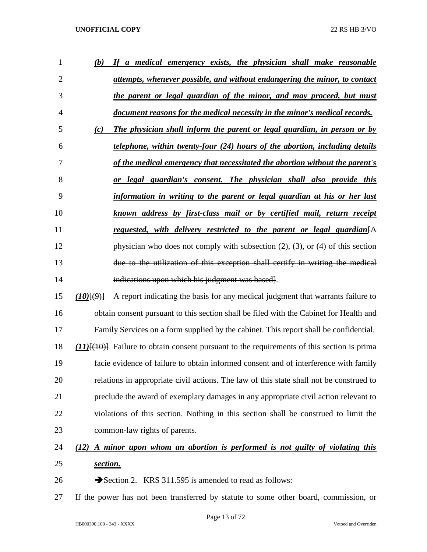| $\mathbf{1}$   | (b)                | If a medical emergency exists, the physician shall make reasonable                                        |
|----------------|--------------------|-----------------------------------------------------------------------------------------------------------|
| $\overline{2}$ |                    | attempts, whenever possible, and without endangering the minor, to contact                                |
| 3              |                    | the parent or legal guardian of the minor, and may proceed, but must                                      |
| $\overline{4}$ |                    | document reasons for the medical necessity in the minor's medical records.                                |
| 5              | (c)                | The physician shall inform the parent or legal guardian, in person or by                                  |
| 6              |                    | telephone, within twenty-four (24) hours of the abortion, including details                               |
| 7              |                    | of the medical emergency that necessitated the abortion without the parent's                              |
| 8              |                    | legal guardian's consent. The physician shall also provide this<br><b>or</b>                              |
| 9              |                    | information in writing to the parent or legal guardian at his or her last                                 |
| 10             |                    | known address by first-class mail or by certified mail, return receipt                                    |
| 11             |                    | requested, with delivery restricted to the parent or legal guardian $[A]$                                 |
| 12             |                    | physician who does not comply with subsection $(2)$ , $(3)$ , or $(4)$ of this section                    |
| 13             |                    | due to the utilization of this exception shall certify in writing the medical                             |
| 14             |                    | indications upon which his judgment was based.                                                            |
| 15             | $(10)$ $(9)$ $(9)$ | A report indicating the basis for any medical judgment that warrants failure to                           |
| 16             |                    | obtain consent pursuant to this section shall be filed with the Cabinet for Health and                    |
| 17             |                    | Family Services on a form supplied by the cabinet. This report shall be confidential.                     |
| 18             |                    | $(11)$ $\{$ + $(10)$ $\}$ Failure to obtain consent pursuant to the requirements of this section is prima |
| 19             |                    | facie evidence of failure to obtain informed consent and of interference with family                      |
| 20             |                    | relations in appropriate civil actions. The law of this state shall not be construed to                   |
| 21             |                    | preclude the award of exemplary damages in any appropriate civil action relevant to                       |
| 22             |                    | violations of this section. Nothing in this section shall be construed to limit the                       |
| 23             |                    | common-law rights of parents.                                                                             |
| 24             |                    | (12) A minor upon whom an abortion is performed is not guilty of violating this                           |
| 25             | section.           |                                                                                                           |

26 Section 2. KRS 311.595 is amended to read as follows:

If the power has not been transferred by statute to some other board, commission, or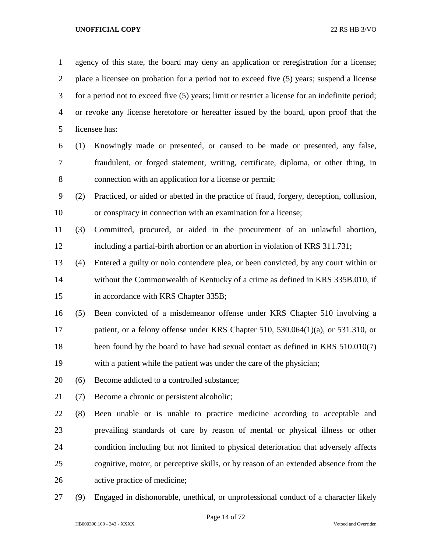agency of this state, the board may deny an application or reregistration for a license; place a licensee on probation for a period not to exceed five (5) years; suspend a license for a period not to exceed five (5) years; limit or restrict a license for an indefinite period; or revoke any license heretofore or hereafter issued by the board, upon proof that the licensee has: (1) Knowingly made or presented, or caused to be made or presented, any false, fraudulent, or forged statement, writing, certificate, diploma, or other thing, in connection with an application for a license or permit; (2) Practiced, or aided or abetted in the practice of fraud, forgery, deception, collusion, or conspiracy in connection with an examination for a license; (3) Committed, procured, or aided in the procurement of an unlawful abortion, including a partial-birth abortion or an abortion in violation of KRS 311.731; (4) Entered a guilty or nolo contendere plea, or been convicted, by any court within or without the Commonwealth of Kentucky of a crime as defined in KRS 335B.010, if 15 in accordance with KRS Chapter 335B; (5) Been convicted of a misdemeanor offense under KRS Chapter 510 involving a 17 patient, or a felony offense under KRS Chapter 510, 530.064(1)(a), or 531.310, or 18 been found by the board to have had sexual contact as defined in KRS 510.010(7) with a patient while the patient was under the care of the physician; (6) Become addicted to a controlled substance; (7) Become a chronic or persistent alcoholic; (8) Been unable or is unable to practice medicine according to acceptable and prevailing standards of care by reason of mental or physical illness or other condition including but not limited to physical deterioration that adversely affects cognitive, motor, or perceptive skills, or by reason of an extended absence from the active practice of medicine;

(9) Engaged in dishonorable, unethical, or unprofessional conduct of a character likely

Page 14 of 72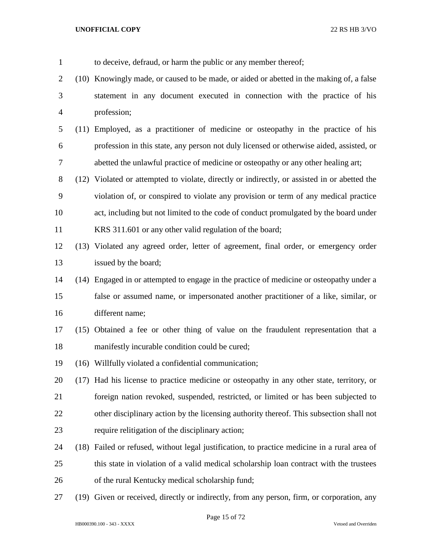to deceive, defraud, or harm the public or any member thereof; (10) Knowingly made, or caused to be made, or aided or abetted in the making of, a false statement in any document executed in connection with the practice of his profession; (11) Employed, as a practitioner of medicine or osteopathy in the practice of his profession in this state, any person not duly licensed or otherwise aided, assisted, or abetted the unlawful practice of medicine or osteopathy or any other healing art; (12) Violated or attempted to violate, directly or indirectly, or assisted in or abetted the violation of, or conspired to violate any provision or term of any medical practice act, including but not limited to the code of conduct promulgated by the board under KRS 311.601 or any other valid regulation of the board; (13) Violated any agreed order, letter of agreement, final order, or emergency order issued by the board; (14) Engaged in or attempted to engage in the practice of medicine or osteopathy under a false or assumed name, or impersonated another practitioner of a like, similar, or different name; (15) Obtained a fee or other thing of value on the fraudulent representation that a manifestly incurable condition could be cured; (16) Willfully violated a confidential communication; (17) Had his license to practice medicine or osteopathy in any other state, territory, or foreign nation revoked, suspended, restricted, or limited or has been subjected to other disciplinary action by the licensing authority thereof. This subsection shall not require relitigation of the disciplinary action; (18) Failed or refused, without legal justification, to practice medicine in a rural area of this state in violation of a valid medical scholarship loan contract with the trustees of the rural Kentucky medical scholarship fund; (19) Given or received, directly or indirectly, from any person, firm, or corporation, any

Page 15 of 72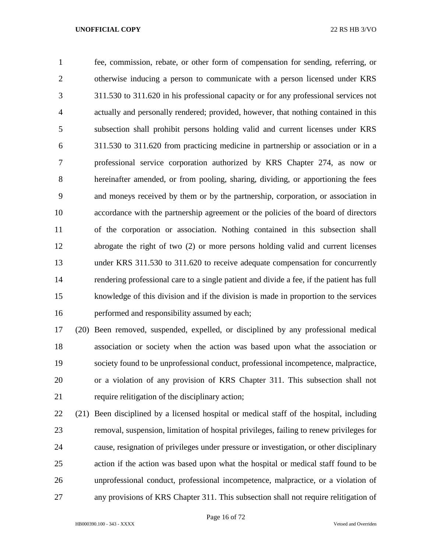fee, commission, rebate, or other form of compensation for sending, referring, or otherwise inducing a person to communicate with a person licensed under KRS 311.530 to 311.620 in his professional capacity or for any professional services not actually and personally rendered; provided, however, that nothing contained in this subsection shall prohibit persons holding valid and current licenses under KRS 311.530 to 311.620 from practicing medicine in partnership or association or in a professional service corporation authorized by KRS Chapter 274, as now or hereinafter amended, or from pooling, sharing, dividing, or apportioning the fees and moneys received by them or by the partnership, corporation, or association in accordance with the partnership agreement or the policies of the board of directors of the corporation or association. Nothing contained in this subsection shall abrogate the right of two (2) or more persons holding valid and current licenses under KRS 311.530 to 311.620 to receive adequate compensation for concurrently rendering professional care to a single patient and divide a fee, if the patient has full knowledge of this division and if the division is made in proportion to the services performed and responsibility assumed by each;

 (20) Been removed, suspended, expelled, or disciplined by any professional medical association or society when the action was based upon what the association or society found to be unprofessional conduct, professional incompetence, malpractice, or a violation of any provision of KRS Chapter 311. This subsection shall not require relitigation of the disciplinary action;

 (21) Been disciplined by a licensed hospital or medical staff of the hospital, including removal, suspension, limitation of hospital privileges, failing to renew privileges for cause, resignation of privileges under pressure or investigation, or other disciplinary action if the action was based upon what the hospital or medical staff found to be unprofessional conduct, professional incompetence, malpractice, or a violation of any provisions of KRS Chapter 311. This subsection shall not require relitigation of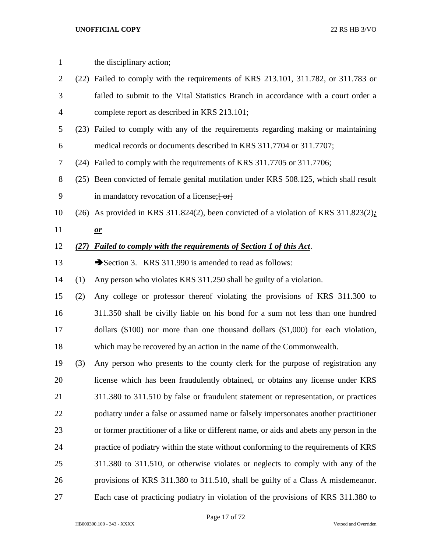| $\mathbf{1}$   |      | the disciplinary action;                                                                       |
|----------------|------|------------------------------------------------------------------------------------------------|
|                |      |                                                                                                |
| $\overline{2}$ |      | (22) Failed to comply with the requirements of KRS 213.101, 311.782, or 311.783 or             |
| 3              |      | failed to submit to the Vital Statistics Branch in accordance with a court order a             |
| $\overline{4}$ |      | complete report as described in KRS 213.101;                                                   |
| 5              |      | (23) Failed to comply with any of the requirements regarding making or maintaining             |
| 6              |      | medical records or documents described in KRS 311.7704 or 311.7707;                            |
| 7              |      | (24) Failed to comply with the requirements of KRS 311.7705 or 311.7706;                       |
| $8\,$          |      | (25) Been convicted of female genital mutilation under KRS 508.125, which shall result         |
| 9              |      | in mandatory revocation of a license; [-or]                                                    |
| 10             |      | $(26)$ As provided in KRS 311.824 $(2)$ , been convicted of a violation of KRS 311.823 $(2)$ ; |
| 11             |      | $\mathbf{\underline{or}}$                                                                      |
| 12             | (27) | Failed to comply with the requirements of Section 1 of this Act.                               |
| 13             |      | Section 3. KRS 311.990 is amended to read as follows:                                          |
| 14             | (1)  | Any person who violates KRS 311.250 shall be guilty of a violation.                            |
| 15             | (2)  | Any college or professor thereof violating the provisions of KRS 311.300 to                    |
| 16             |      | 311.350 shall be civilly liable on his bond for a sum not less than one hundred                |
| 17             |      | dollars $(\$100)$ nor more than one thousand dollars $(\$1,000)$ for each violation,           |
| 18             |      | which may be recovered by an action in the name of the Commonwealth.                           |
| 19             | (3)  | Any person who presents to the county clerk for the purpose of registration any                |
| 20             |      | license which has been fraudulently obtained, or obtains any license under KRS                 |
| 21             |      | 311.380 to 311.510 by false or fraudulent statement or representation, or practices            |
| 22             |      | podiatry under a false or assumed name or falsely impersonates another practitioner            |
| 23             |      | or former practitioner of a like or different name, or aids and abets any person in the        |
| 24             |      | practice of podiatry within the state without conforming to the requirements of KRS            |
| 25             |      | 311.380 to 311.510, or otherwise violates or neglects to comply with any of the                |
| 26             |      | provisions of KRS 311.380 to 311.510, shall be guilty of a Class A misdemeanor.                |
| 27             |      | Each case of practicing podiatry in violation of the provisions of KRS 311.380 to              |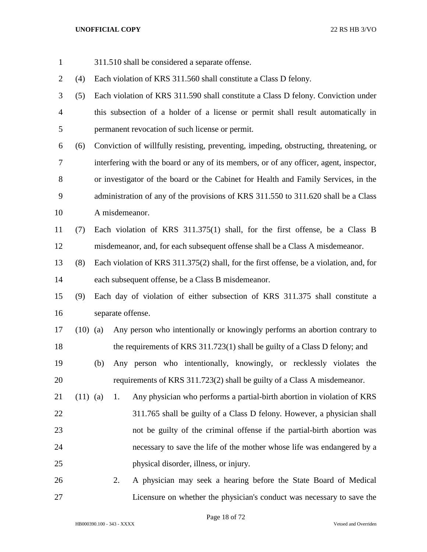| $\mathbf{1}$   |            |    | 311.510 shall be considered a separate offense.                                         |
|----------------|------------|----|-----------------------------------------------------------------------------------------|
| $\overline{2}$ | (4)        |    | Each violation of KRS 311.560 shall constitute a Class D felony.                        |
| 3              | (5)        |    | Each violation of KRS 311.590 shall constitute a Class D felony. Conviction under       |
| $\overline{4}$ |            |    | this subsection of a holder of a license or permit shall result automatically in        |
| 5              |            |    | permanent revocation of such license or permit.                                         |
| 6              | (6)        |    | Conviction of willfully resisting, preventing, impeding, obstructing, threatening, or   |
| 7              |            |    | interfering with the board or any of its members, or of any officer, agent, inspector,  |
| 8              |            |    | or investigator of the board or the Cabinet for Health and Family Services, in the      |
| 9              |            |    | administration of any of the provisions of KRS 311.550 to 311.620 shall be a Class      |
| 10             |            |    | A misdemeanor.                                                                          |
| 11             | (7)        |    | Each violation of KRS 311.375(1) shall, for the first offense, be a Class B             |
| 12             |            |    | misdemeanor, and, for each subsequent offense shall be a Class A misdemeanor.           |
| 13             | (8)        |    | Each violation of KRS 311.375(2) shall, for the first offense, be a violation, and, for |
| 14             |            |    | each subsequent offense, be a Class B misdemeanor.                                      |
| 15             | (9)        |    | Each day of violation of either subsection of KRS 311.375 shall constitute a            |
| 16             |            |    | separate offense.                                                                       |
| 17             | $(10)$ (a) |    | Any person who intentionally or knowingly performs an abortion contrary to              |
| 18             |            |    | the requirements of KRS 311.723(1) shall be guilty of a Class D felony; and             |
| 19             |            |    | (b) Any person who intentionally, knowingly, or recklessly violates the                 |
| 20             |            |    | requirements of KRS 311.723(2) shall be guilty of a Class A misdemeanor.                |
| 21             | $(11)$ (a) | 1. | Any physician who performs a partial-birth abortion in violation of KRS                 |
| 22             |            |    | 311.765 shall be guilty of a Class D felony. However, a physician shall                 |
| 23             |            |    | not be guilty of the criminal offense if the partial-birth abortion was                 |
| 24             |            |    | necessary to save the life of the mother whose life was endangered by a                 |
| 25             |            |    | physical disorder, illness, or injury.                                                  |
| 26             |            | 2. | A physician may seek a hearing before the State Board of Medical                        |
| 27             |            |    | Licensure on whether the physician's conduct was necessary to save the                  |

Page 18 of 72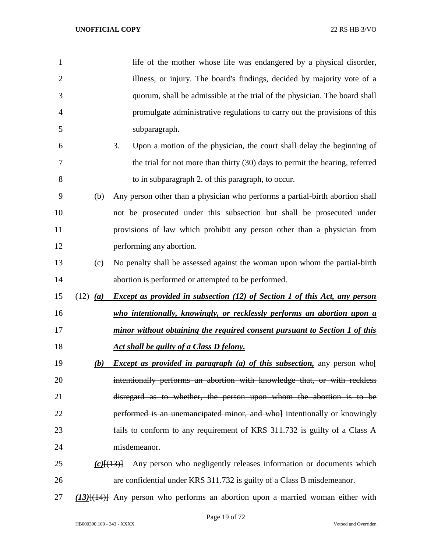| $\mathbf{1}$   |              | life of the mother whose life was endangered by a physical disorder,              |
|----------------|--------------|-----------------------------------------------------------------------------------|
| $\overline{2}$ |              | illness, or injury. The board's findings, decided by majority vote of a           |
| 3              |              | quorum, shall be admissible at the trial of the physician. The board shall        |
| 4              |              | promulgate administrative regulations to carry out the provisions of this         |
| 5              |              | subparagraph.                                                                     |
| 6              |              | Upon a motion of the physician, the court shall delay the beginning of<br>3.      |
| 7              |              | the trial for not more than thirty (30) days to permit the hearing, referred      |
| 8              |              | to in subparagraph 2. of this paragraph, to occur.                                |
| 9              | (b)          | Any person other than a physician who performs a partial-birth abortion shall     |
| 10             |              | not be prosecuted under this subsection but shall be prosecuted under             |
| 11             |              | provisions of law which prohibit any person other than a physician from           |
| 12             |              | performing any abortion.                                                          |
| 13             | (c)          | No penalty shall be assessed against the woman upon whom the partial-birth        |
| 14             |              | abortion is performed or attempted to be performed.                               |
| 15             | $(12)$ (a)   | <b>Except as provided in subsection (12) of Section 1 of this Act, any person</b> |
| 16             |              | who intentionally, knowingly, or recklessly performs an abortion upon a           |
| 17             |              | minor without obtaining the required consent pursuant to Section 1 of this        |
| 18             |              | Act shall be guilty of a Class D felony.                                          |
| 19             | (b)          | <i>Except as provided in paragraph (a) of this subsection</i> , any person who    |
| 20             |              | intentionally performs an abortion with knowledge that, or with reckless          |
| 21             |              | disregard as to whether, the person upon whom the abortion is to be               |
| 22             |              | performed is an unemancipated minor, and whol intentionally or knowingly          |
| 23             |              | fails to conform to any requirement of KRS 311.732 is guilty of a Class A         |
| 24             |              | misdemeanor.                                                                      |
| 25             | $(c)$ $(13)$ | Any person who negligently releases information or documents which                |
| 26             |              | are confidential under KRS 311.732 is guilty of a Class B misdemeanor.            |
|                |              |                                                                                   |

*(13)*[(14)] Any person who performs an abortion upon a married woman either with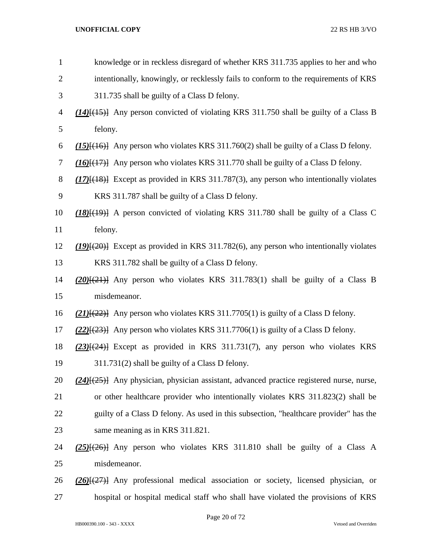| $\mathbf{1}$   | knowledge or in reckless disregard of whether KRS 311.735 applies to her and who                 |
|----------------|--------------------------------------------------------------------------------------------------|
| $\overline{2}$ | intentionally, knowingly, or recklessly fails to conform to the requirements of KRS              |
| 3              | 311.735 shall be guilty of a Class D felony.                                                     |
| $\overline{4}$ | $(14)$ { $(15)$ } Any person convicted of violating KRS 311.750 shall be guilty of a Class B     |
| 5              | felony.                                                                                          |
| 6              | $(15)$ [ $(16)$ ] Any person who violates KRS 311.760(2) shall be guilty of a Class D felony.    |
| $\tau$         | $(16)$ $(17)$ } Any person who violates KRS 311.770 shall be guilty of a Class D felony.         |
| $8\,$          | $(17)$ [ $(18)$ ] Except as provided in KRS 311.787(3), any person who intentionally violates    |
| 9              | KRS 311.787 shall be guilty of a Class D felony.                                                 |
| 10             | $(18)$ $(19)$ A person convicted of violating KRS 311.780 shall be guilty of a Class C           |
| 11             | felony.                                                                                          |
| 12             | $(19)(20)$ Except as provided in KRS 311.782(6), any person who intentionally violates           |
| 13             | KRS 311.782 shall be guilty of a Class D felony.                                                 |
| 14             | $(20)$ $\{(21)$ Any person who violates KRS 311.783(1) shall be guilty of a Class B              |
| 15             | misdemeanor.                                                                                     |
| 16             | $(21)$ [ $(22)$ ] Any person who violates KRS 311.7705(1) is guilty of a Class D felony.         |
| 17             | $(22)$ { $(23)$ } Any person who violates KRS 311.7706(1) is guilty of a Class D felony.         |
| 18             | $(23)$ [ $(24)$ ] Except as provided in KRS 311.731(7), any person who violates KRS              |
| 19             | 311.731(2) shall be guilty of a Class D felony.                                                  |
| 20             | $(24)$ { $(25)$ } Any physician, physician assistant, advanced practice registered nurse, nurse, |
| 21             | or other healthcare provider who intentionally violates KRS 311.823(2) shall be                  |
| 22             | guilty of a Class D felony. As used in this subsection, "healthcare provider" has the            |
| 23             | same meaning as in KRS 311.821.                                                                  |
| 24             | $(25)$ $(26)$ } Any person who violates KRS 311.810 shall be guilty of a Class A                 |
| 25             | misdemeanor.                                                                                     |
| 26             | $(26)$ $(27)$ } Any professional medical association or society, licensed physician, or          |
| 27             | hospital or hospital medical staff who shall have violated the provisions of KRS                 |
|                |                                                                                                  |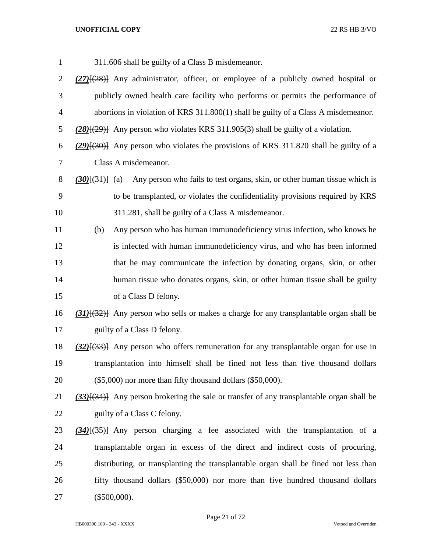| 311.606 shall be guilty of a Class B misdemeanor.                                                |
|--------------------------------------------------------------------------------------------------|
| $(27)$ [ $(28)$ ] Any administrator, officer, or employee of a publicly owned hospital or        |
| publicly owned health care facility who performs or permits the performance of                   |
| abortions in violation of KRS 311.800(1) shall be guilty of a Class A misdemeanor.               |
| $(28)(29)$ } Any person who violates KRS 311.905(3) shall be guilty of a violation.              |
| $(29)(30)$ Any person who violates the provisions of KRS 311.820 shall be guilty of a            |
| Class A misdemeanor.                                                                             |
| Any person who fails to test organs, skin, or other human tissue which is<br>$(30)(31)$ (a)      |
| to be transplanted, or violates the confidentiality provisions required by KRS                   |
| 311.281, shall be guilty of a Class A misdemeanor.                                               |
| Any person who has human immunodeficiency virus infection, who knows he<br>(b)                   |
| is infected with human immunodeficiency virus, and who has been informed                         |
| that he may communicate the infection by donating organs, skin, or other                         |
| human tissue who donates organs, skin, or other human tissue shall be guilty                     |
| of a Class D felony.                                                                             |
| $(31)$ { $(32)$ } Any person who sells or makes a charge for any transplantable organ shall be   |
| guilty of a Class D felony.                                                                      |
| $(32)$ { $(33)$ } Any person who offers remuneration for any transplantable organ for use in     |
| transplantation into himself shall be fined not less than five thousand dollars                  |
| $(\$5,000)$ nor more than fifty thousand dollars $(\$50,000)$ .                                  |
| $(33)$ [ $(34)$ ] Any person brokering the sale or transfer of any transplantable organ shall be |
| guilty of a Class C felony.                                                                      |
| $(34)$ $(35)$ Any person charging a fee associated with the transplantation of a                 |
| transplantable organ in excess of the direct and indirect costs of procuring,                    |
| distributing, or transplanting the transplantable organ shall be fined not less than             |
| fifty thousand dollars (\$50,000) nor more than five hundred thousand dollars                    |
| $(\$500,000).$                                                                                   |
|                                                                                                  |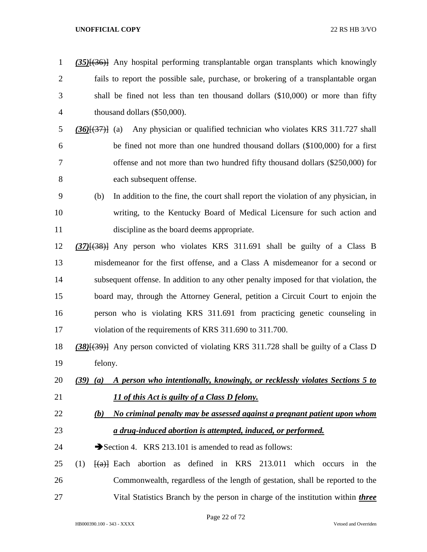| $\mathbf{1}$   | $(35)$ { $(36)$ } Any hospital performing transplantable organ transplants which knowingly                                    |
|----------------|-------------------------------------------------------------------------------------------------------------------------------|
| $\mathbf{2}$   | fails to report the possible sale, purchase, or brokering of a transplantable organ                                           |
| 3              | shall be fined not less than ten thousand dollars (\$10,000) or more than fifty                                               |
| $\overline{4}$ | thousand dollars (\$50,000).                                                                                                  |
| 5              | Any physician or qualified technician who violates KRS 311.727 shall<br>$(36)(37)$ (a)                                        |
| 6              | be fined not more than one hundred thousand dollars (\$100,000) for a first                                                   |
| 7              | offense and not more than two hundred fifty thousand dollars (\$250,000) for                                                  |
| 8              | each subsequent offense.                                                                                                      |
| 9              | In addition to the fine, the court shall report the violation of any physician, in<br>(b)                                     |
| 10             | writing, to the Kentucky Board of Medical Licensure for such action and                                                       |
| 11             | discipline as the board deems appropriate.                                                                                    |
| 12             | $(37)$ $(38)$ } Any person who violates KRS 311.691 shall be guilty of a Class B                                              |
| 13             | misdemeanor for the first offense, and a Class A misdemeanor for a second or                                                  |
| 14             | subsequent offense. In addition to any other penalty imposed for that violation, the                                          |
| 15             | board may, through the Attorney General, petition a Circuit Court to enjoin the                                               |
| 16             | person who is violating KRS 311.691 from practicing genetic counseling in                                                     |
| 17             | violation of the requirements of KRS 311.690 to 311.700.                                                                      |
| 18             | (38)[(39)] Any person convicted of violating KRS 311.728 shall be guilty of a Class D                                         |
| 19             | felony.                                                                                                                       |
| 20             | A person who intentionally, knowingly, or recklessly violates Sections 5 to<br>$(39)$ $(a)$                                   |
| 21             | 11 of this Act is guilty of a Class D felony.                                                                                 |
| 22             | No criminal penalty may be assessed against a pregnant patient upon whom<br>(b)                                               |
| 23             | a drug-induced abortion is attempted, induced, or performed.                                                                  |
| 24             | Section 4. KRS 213.101 is amended to read as follows:                                                                         |
| 25             | defined in KRS 213.011<br>(1)<br>abortion<br>which occurs<br>$\left\{ \left( \alpha \right) \right\}$ Each<br>the<br>as<br>in |
| 26             | Commonwealth, regardless of the length of gestation, shall be reported to the                                                 |
| 27             | Vital Statistics Branch by the person in charge of the institution within <i>three</i>                                        |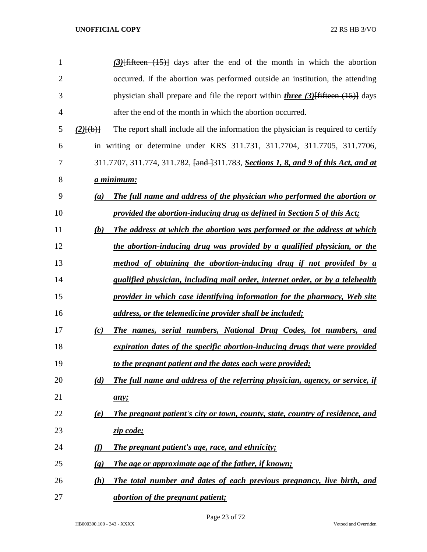| $\mathbf{1}$   | $(3)$ [fifteen $(15)$ ] days after the end of the month in which the abortion                               |
|----------------|-------------------------------------------------------------------------------------------------------------|
| $\overline{2}$ | occurred. If the abortion was performed outside an institution, the attending                               |
| 3              | physician shall prepare and file the report within <i>three</i> $(3)$ fifteen $(15)$ days                   |
| 4              | after the end of the month in which the abortion occurred.                                                  |
| 5              | The report shall include all the information the physician is required to certify<br>$(2)$ $\{(\text{b})\}$ |
| 6              | in writing or determine under KRS 311.731, 311.7704, 311.7705, 311.7706,                                    |
| 7              | 311.7707, 311.774, 311.782, <del>[and ]</del> 311.783, <b>Sections 1, 8, and 9 of this Act, and at</b>      |
| 8              | <u>a minimum:</u>                                                                                           |
| 9              | The full name and address of the physician who performed the abortion or<br>(a)                             |
| 10             | provided the abortion-inducing drug as defined in Section 5 of this Act;                                    |
| 11             | The address at which the abortion was performed or the address at which<br>(b)                              |
| 12             | the abortion-inducing drug was provided by a qualified physician, or the                                    |
| 13             | method of obtaining the abortion-inducing drug if not provided by a                                         |
| 14             | qualified physician, including mail order, internet order, or by a telehealth                               |
| 15             | provider in which case identifying information for the pharmacy, Web site                                   |
| 16             | address, or the telemedicine provider shall be included;                                                    |
| 17             | <b>The names, serial numbers, National Drug Codes, lot numbers, and</b><br>(c)                              |
| 18             | expiration dates of the specific abortion-inducing drugs that were provided                                 |
| 19             | to the pregnant patient and the dates each were provided;                                                   |
| 20             | The full name and address of the referring physician, agency, or service, if<br>(d)                         |
| 21             | any;                                                                                                        |
| 22             | The pregnant patient's city or town, county, state, country of residence, and<br>(e)                        |
| 23             | zip code;                                                                                                   |
| 24             | (f)<br><b>The pregnant patient's age, race, and ethnicity;</b>                                              |
| 25             | The age or approximate age of the father, if known;<br>$\left( \mathbf{g}\right)$                           |
| 26             | The total number and dates of each previous pregnancy, live birth, and<br>(h)                               |
| 27             | <i><u>abortion of the pregnant patient;</u></i>                                                             |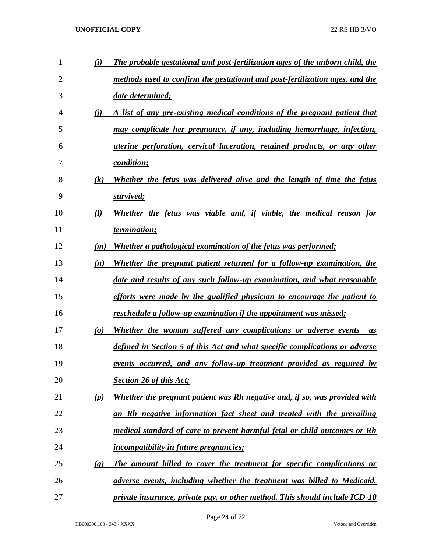| 1              | (i)                       | The probable gestational and post-fertilization ages of the unborn child, the |
|----------------|---------------------------|-------------------------------------------------------------------------------|
| $\overline{2}$ |                           | methods used to confirm the gestational and post-fertilization ages, and the  |
| 3              |                           | date determined;                                                              |
| 4              | (i)                       | A list of any pre-existing medical conditions of the pregnant patient that    |
| 5              |                           | may complicate her pregnancy, if any, including hemorrhage, infection,        |
| 6              |                           | uterine perforation, cervical laceration, retained products, or any other     |
| 7              |                           | <i>condition;</i>                                                             |
| 8              | (k)                       | Whether the fetus was delivered alive and the length of time the fetus        |
| 9              |                           | survived;                                                                     |
| 10             | $\mathcal{U}$             | Whether the fetus was viable and, if viable, the medical reason for           |
| 11             |                           | termination;                                                                  |
| 12             | (m)                       | Whether a pathological examination of the fetus was performed;                |
| 13             | (n)                       | Whether the pregnant patient returned for a follow-up examination, the        |
| 14             |                           | date and results of any such follow-up examination, and what reasonable       |
| 15             |                           | efforts were made by the qualified physician to encourage the patient to      |
| 16             |                           | reschedule a follow-up examination if the appointment was missed;             |
| 17             | $\boldsymbol{\omega}$     | Whether the woman suffered any complications or adverse events<br>as          |
| 18             |                           | defined in Section 5 of this Act and what specific complications or adverse   |
| 19             |                           | events occurred, and any follow-up treatment provided as required by          |
| 20             |                           | Section 26 of this Act;                                                       |
| 21             | (p)                       | Whether the pregnant patient was Rh negative and, if so, was provided with    |
| 22             |                           | an Rh negative information fact sheet and treated with the prevailing         |
| 23             |                           | medical standard of care to prevent harmful fetal or child outcomes or Rh     |
| 24             |                           | <i>incompatibility in future pregnancies;</i>                                 |
| 25             | $\left(\mathbf{q}\right)$ | The amount billed to cover the treatment for specific complications or        |
| 26             |                           | adverse events, including whether the treatment was billed to Medicaid,       |
| 27             |                           | private insurance, private pay, or other method. This should include ICD-10   |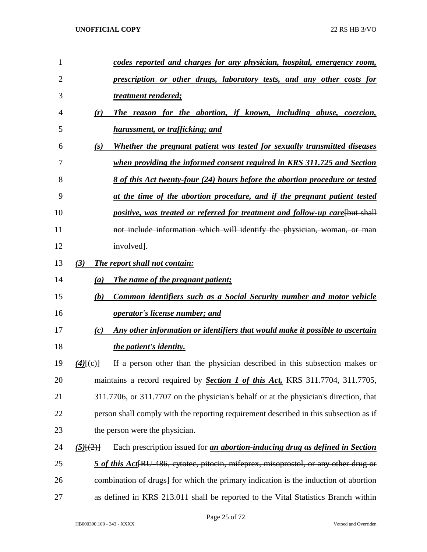| 1  |                      | codes reported and charges for any physician, hospital, emergency room,                          |
|----|----------------------|--------------------------------------------------------------------------------------------------|
| 2  |                      | prescription or other drugs, laboratory tests, and any other costs for                           |
| 3  |                      | treatment rendered;                                                                              |
| 4  | (r)                  | The reason for the abortion, if known, including abuse, coercion,                                |
| 5  |                      | harassment, or trafficking; and                                                                  |
| 6  | (s)                  | Whether the pregnant patient was tested for sexually transmitted diseases                        |
| 7  |                      | when providing the informed consent required in KRS 311.725 and Section                          |
| 8  |                      | 8 of this Act twenty-four (24) hours before the abortion procedure or tested                     |
| 9  |                      | at the time of the abortion procedure, and if the pregnant patient tested                        |
| 10 |                      | positive, was treated or referred for treatment and follow-up care [but shall                    |
| 11 |                      | not include information which will identify the physician, woman, or man                         |
| 12 |                      | involved.                                                                                        |
| 13 | (3)                  | The report shall not contain:                                                                    |
| 14 | (a)                  | The name of the pregnant patient;                                                                |
| 15 | (b)                  | <b>Common identifiers such as a Social Security number and motor vehicle</b>                     |
| 16 |                      | <i>operator's license number; and</i>                                                            |
| 17 | (c)                  | Any other information or identifiers that would make it possible to ascertain                    |
| 18 |                      | <i>the patient's identity.</i>                                                                   |
| 19 | $(4)$ $\{(\infty)\}$ | If a person other than the physician described in this subsection makes or                       |
| 20 |                      | maintains a record required by <b>Section 1 of this Act</b> , KRS 311.7704, 311.7705,            |
| 21 |                      | 311.7706, or 311.7707 on the physician's behalf or at the physician's direction, that            |
| 22 |                      | person shall comply with the reporting requirement described in this subsection as if            |
| 23 |                      | the person were the physician.                                                                   |
| 24 | $(5)$ [ $(2)$ ]      | Each prescription issued for <i>an abortion-inducing drug as defined in Section</i>              |
| 25 |                      | 5 of this Act <sup>[RU-486</sup> , cytotec, pitocin, mifeprex, misoprostol, or any other drug or |
| 26 |                      | eombination of drugs] for which the primary indication is the induction of abortion              |
| 27 |                      | as defined in KRS 213.011 shall be reported to the Vital Statistics Branch within                |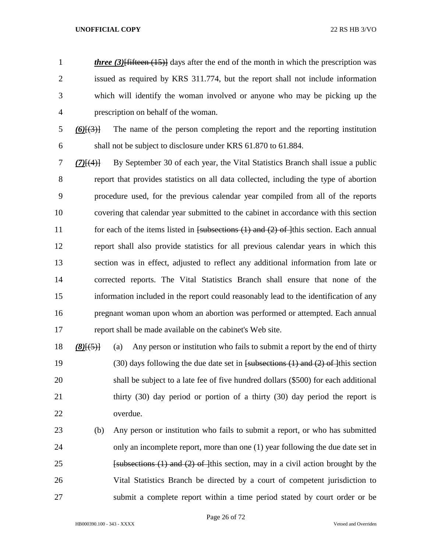*three (3)*<sup>[fifteen (15)]</sup> days after the end of the month in which the prescription was issued as required by KRS 311.774, but the report shall not include information which will identify the woman involved or anyone who may be picking up the prescription on behalf of the woman.

 *(6)*[(3)] The name of the person completing the report and the reporting institution shall not be subject to disclosure under KRS 61.870 to 61.884.

 *(7)*[(4)] By September 30 of each year, the Vital Statistics Branch shall issue a public report that provides statistics on all data collected, including the type of abortion procedure used, for the previous calendar year compiled from all of the reports covering that calendar year submitted to the cabinet in accordance with this section 11 for each of the items listed in [subsections (1) and (2) of ]this section. Each annual report shall also provide statistics for all previous calendar years in which this section was in effect, adjusted to reflect any additional information from late or corrected reports. The Vital Statistics Branch shall ensure that none of the information included in the report could reasonably lead to the identification of any pregnant woman upon whom an abortion was performed or attempted. Each annual report shall be made available on the cabinet's Web site.

 *(8)*[(5)] (a) Any person or institution who fails to submit a report by the end of thirty 19 (30) days following the due date set in  $f$ subsections (1) and (2) of 1<sup>this</sup> section shall be subject to a late fee of five hundred dollars (\$500) for each additional thirty (30) day period or portion of a thirty (30) day period the report is overdue.

 (b) Any person or institution who fails to submit a report, or who has submitted only an incomplete report, more than one (1) year following the due date set in **Example 1 Example 1 Example 1 Example 1 Example 1 Example 1 Example 1 Example 1 Example 1 Example 1 Example 1 Example 1 Example 1 Example 1 Example 1 Example 1 Example 1 Example 1 Ex**  Vital Statistics Branch be directed by a court of competent jurisdiction to submit a complete report within a time period stated by court order or be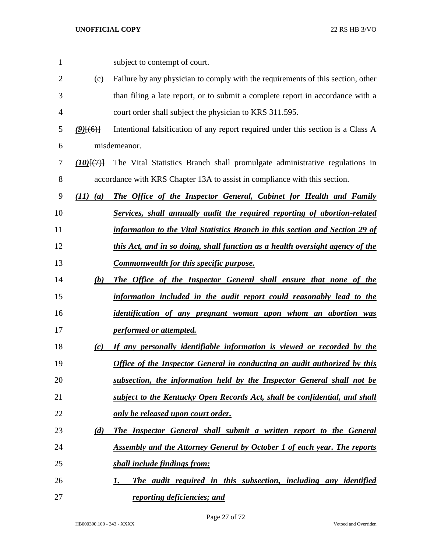| $\mathbf{1}$   |              | subject to contempt of court.                                                    |
|----------------|--------------|----------------------------------------------------------------------------------|
| $\overline{2}$ | (c)          | Failure by any physician to comply with the requirements of this section, other  |
| 3              |              | than filing a late report, or to submit a complete report in accordance with a   |
| 4              |              | court order shall subject the physician to KRS 311.595.                          |
| 5              | $(9)$ $(6)$  | Intentional falsification of any report required under this section is a Class A |
| 6              |              | misdemeanor.                                                                     |
| 7              | (10)(7)      | The Vital Statistics Branch shall promulgate administrative regulations in       |
| 8              |              | accordance with KRS Chapter 13A to assist in compliance with this section.       |
| 9              | $(11)$ $(a)$ | The Office of the Inspector General, Cabinet for Health and Family               |
| 10             |              | Services, shall annually audit the required reporting of abortion-related        |
| 11             |              | information to the Vital Statistics Branch in this section and Section 29 of     |
| 12             |              | this Act, and in so doing, shall function as a health oversight agency of the    |
| 13             |              | <b>Commonwealth for this specific purpose.</b>                                   |
| 14             | (b)          | The Office of the Inspector General shall ensure that none of the                |
| 15             |              | information included in the audit report could reasonably lead to the            |
| 16             |              | identification of any pregnant woman upon whom an abortion was                   |
| 17             |              | performed or attempted.                                                          |
| 18             | (c)          | If any personally identifiable information is viewed or recorded by the          |
| 19             |              | Office of the Inspector General in conducting an audit authorized by this        |
| 20             |              | subsection, the information held by the Inspector General shall not be           |
| 21             |              | subject to the Kentucky Open Records Act, shall be confidential, and shall       |
| 22             |              | only be released upon court order.                                               |
| 23             | (d)          | The Inspector General shall submit a written report to the General               |
| 24             |              | <b>Assembly and the Attorney General by October 1 of each year. The reports</b>  |
| 25             |              | shall include findings from:                                                     |
| 26             |              | The audit required in this subsection, including any identified<br>1.            |
| 27             |              | reporting deficiencies; and                                                      |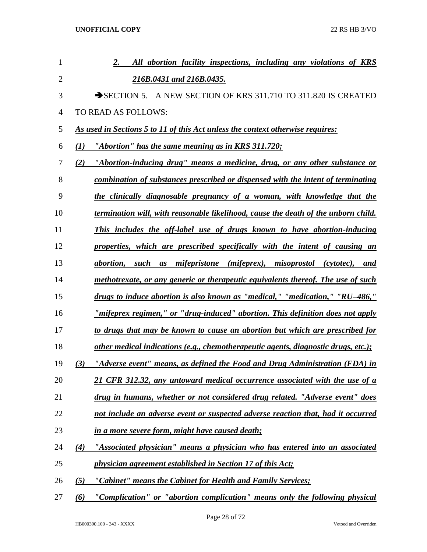| 1              |     | All abortion facility inspections, including any violations of KRS<br>2.              |
|----------------|-----|---------------------------------------------------------------------------------------|
| $\overline{2}$ |     | 216B.0431 and 216B.0435.                                                              |
| 3              |     | A NEW SECTION OF KRS 311.710 TO 311.820 IS CREATED<br>$\rightarrow$ SECTION 5.        |
| $\overline{4}$ |     | TO READ AS FOLLOWS:                                                                   |
| 5              |     | As used in Sections 5 to 11 of this Act unless the context otherwise requires:        |
| 6              | (I) | "Abortion" has the same meaning as in KRS 311.720;                                    |
| 7              | (2) | "Abortion-inducing drug" means a medicine, drug, or any other substance or            |
| 8              |     | combination of substances prescribed or dispensed with the intent of terminating      |
| 9              |     | the clinically diagnosable pregnancy of a woman, with knowledge that the              |
| 10             |     | termination will, with reasonable likelihood, cause the death of the unborn child.    |
| 11             |     | This includes the off-label use of drugs known to have abortion-inducing              |
| 12             |     | properties, which are prescribed specifically with the intent of causing an           |
| 13             |     | mifepristone (mifeprex), misoprostol (cytotec), and<br><i>abortion,</i><br>such<br>as |
| 14             |     | methotrexate, or any generic or therapeutic equivalents thereof. The use of such      |
| 15             |     | drugs to induce abortion is also known as "medical," "medication," "RU-486,"          |
| 16             |     | <u>"mifeprex regimen," or "drug-induced" abortion. This definition does not apply</u> |
| 17             |     | to drugs that may be known to cause an abortion but which are prescribed for          |
| 18             |     | other medical indications (e.g., chemotherapeutic agents, diagnostic drugs, etc.);    |
| 19             | (3) | "Adverse event" means, as defined the Food and Drug Administration (FDA) in           |
| 20             |     | 21 CFR 312.32, any untoward medical occurrence associated with the use of a           |
| 21             |     | drug in humans, whether or not considered drug related. "Adverse event" does          |
| 22             |     | not include an adverse event or suspected adverse reaction that, had it occurred      |
| 23             |     | in a more severe form, might have caused death;                                       |
| 24             | (4) | "Associated physician" means a physician who has entered into an associated           |
| 25             |     | physician agreement established in Section 17 of this Act;                            |
| 26             | (5) | "Cabinet" means the Cabinet for Health and Family Services;                           |
| 27             | (6) | "Complication" or "abortion complication" means only the following physical           |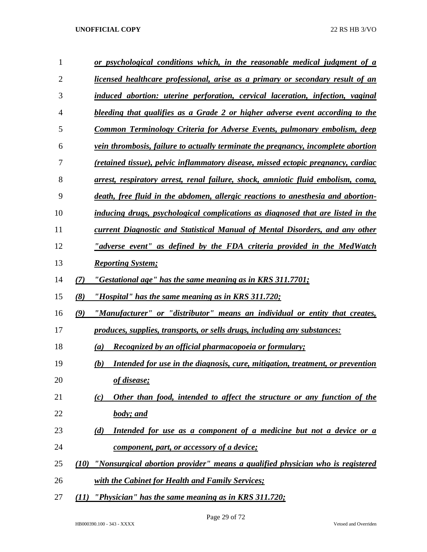| 1              |      | or psychological conditions which, in the reasonable medical judgment of a              |
|----------------|------|-----------------------------------------------------------------------------------------|
| $\overline{2}$ |      | <u>licensed healthcare professional, arise as a primary or secondary result of an</u>   |
| 3              |      | induced abortion: uterine perforation, cervical laceration, infection, vaginal          |
| 4              |      | bleeding that qualifies as a Grade 2 or higher adverse event according to the           |
| 5              |      | <b>Common Terminology Criteria for Adverse Events, pulmonary embolism, deep</b>         |
| 6              |      | vein thrombosis, failure to actually terminate the pregnancy, incomplete abortion       |
| 7              |      | (retained tissue), pelvic inflammatory disease, missed ectopic pregnancy, cardiac       |
| 8              |      | <u>arrest, respiratory arrest, renal failure, shock, amniotic fluid embolism, coma,</u> |
| 9              |      | death, free fluid in the abdomen, allergic reactions to anesthesia and abortion-        |
| 10             |      | inducing drugs, psychological complications as diagnosed that are listed in the         |
| 11             |      | current Diagnostic and Statistical Manual of Mental Disorders, and any other            |
| 12             |      | "adverse event" as defined by the FDA criteria provided in the MedWatch                 |
| 13             |      | <b>Reporting System;</b>                                                                |
| 14             | (7)  | "Gestational age" has the same meaning as in KRS 311.7701;                              |
| 15             | (8)  | "Hospital" has the same meaning as in KRS 311.720;                                      |
| 16             | (9)  | "Manufacturer" or "distributor" means an individual or entity that creates,             |
| 17             |      | <u>produces, supplies, transports, or sells drugs, including any substances:</u>        |
| 18             |      | Recognized by an official pharmacopoeia or formulary;<br>(a)                            |
| 19             |      | Intended for use in the diagnosis, cure, mitigation, treatment, or prevention<br>(b)    |
| 20             |      | of disease;                                                                             |
| 21             |      | Other than food, intended to affect the structure or any function of the<br>(c)         |
| 22             |      | <b>body</b> ; and                                                                       |
| 23             |      | Intended for use as a component of a medicine but not a device or a<br>(d)              |
| 24             |      | component, part, or accessory of a device;                                              |
| 25             |      | (10) "Nonsurgical abortion provider" means a qualified physician who is registered      |
| 26             |      | with the Cabinet for Health and Family Services;                                        |
| 27             | (11) | "Physician" has the same meaning as in KRS 311.720;                                     |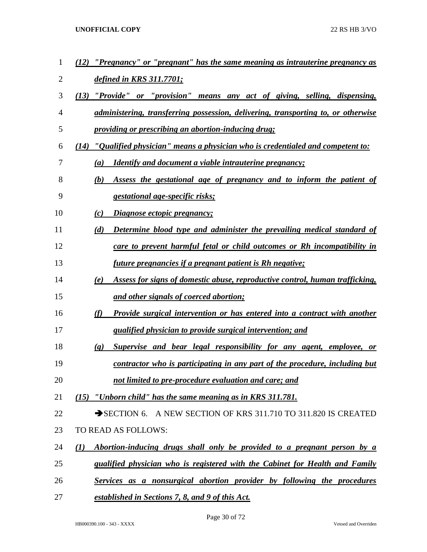| 1  | "Pregnancy" or "pregnant" has the same meaning as intrauterine pregnancy as<br>(12)                |
|----|----------------------------------------------------------------------------------------------------|
| 2  | <u>defined in KRS 311.7701;</u>                                                                    |
| 3  | (13)<br>"Provide" or "provision" means any act of giving, selling, dispensing,                     |
| 4  | administering, transferring possession, delivering, transporting to, or otherwise                  |
| 5  | providing or prescribing an abortion-inducing drug;                                                |
| 6  | " <i>Qualified physician</i> " means a physician who is credentialed and competent to:<br>(14)     |
| 7  | <u><b>Identify and document a viable intrauterine pregnancy;</b></u><br>(a)                        |
| 8  | Assess the gestational age of pregnancy and to inform the patient of<br>(b)                        |
| 9  | <i>gestational age-specific risks;</i>                                                             |
| 10 | <i><b>Diagnose ectopic pregnancy;</b></i><br>(c)                                                   |
| 11 | (d)<br>Determine blood type and administer the prevailing medical standard of                      |
| 12 | care to prevent harmful fetal or child outcomes or Rh incompatibility in                           |
| 13 | <u>future pregnancies if a pregnant patient is Rh negative;</u>                                    |
| 14 | Assess for signs of domestic abuse, reproductive control, human trafficking,<br>(e)                |
| 15 | and other signals of coerced abortion;                                                             |
| 16 | (f)<br>Provide surgical intervention or has entered into a contract with another                   |
| 17 | <i>qualified physician to provide surgical intervention; and</i>                                   |
| 18 | Supervise and bear legal responsibility for any agent, employee, or<br>$\left( \mathbf{g} \right)$ |
| 19 | contractor who is participating in any part of the procedure, including but                        |
| 20 | not limited to pre-procedure evaluation and care; and                                              |
| 21 | $(15)$ "Unborn child" has the same meaning as in KRS 311.781.                                      |
| 22 | SECTION 6. A NEW SECTION OF KRS 311.710 TO 311.820 IS CREATED                                      |
| 23 | TO READ AS FOLLOWS:                                                                                |
| 24 | Abortion-inducing drugs shall only be provided to a pregnant person by a<br>$\mathcal{L}(I)$       |
| 25 | qualified physician who is registered with the Cabinet for Health and Family                       |
| 26 | Services as a nonsurgical abortion provider by following the procedures                            |
| 27 | established in Sections 7, 8, and 9 of this Act.                                                   |

Page 30 of 72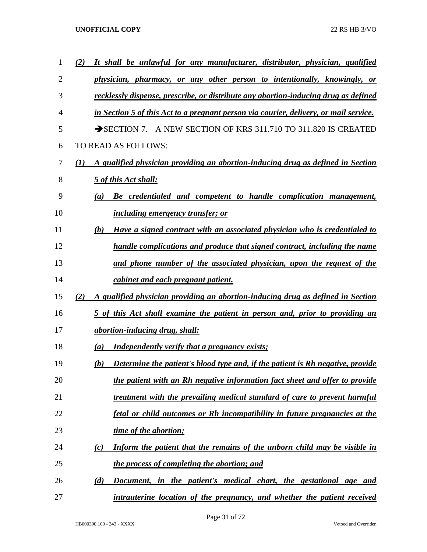| 1              | It shall be unlawful for any manufacturer, distributor, physician, qualified<br>(2)                 |
|----------------|-----------------------------------------------------------------------------------------------------|
| $\overline{2}$ | physician, pharmacy, or any other person to intentionally, knowingly, or                            |
| 3              | recklessly dispense, prescribe, or distribute any abortion-inducing drug as defined                 |
| 4              | in Section 5 of this Act to a pregnant person via courier, delivery, or mail service.               |
| 5              | A NEW SECTION OF KRS 311.710 TO 311.820 IS CREATED<br>$\rightarrow$ SECTION 7.                      |
| 6              | TO READ AS FOLLOWS:                                                                                 |
| 7              | A qualified physician providing an abortion-inducing drug as defined in Section<br>$\mathcal{L}(I)$ |
| 8              | 5 of this Act shall:                                                                                |
| 9              | Be credentialed and competent to handle complication management,<br>$\left(a\right)$                |
| 10             | <i>including emergency transfer; or</i>                                                             |
| 11             | Have a signed contract with an associated physician who is credentialed to<br>(b)                   |
| 12             | handle complications and produce that signed contract, including the name                           |
| 13             | and phone number of the associated physician, upon the request of the                               |
| 14             | cabinet and each pregnant patient.                                                                  |
| 15             | A qualified physician providing an abortion-inducing drug as defined in Section<br>(2)              |
| 16             | 5 of this Act shall examine the patient in person and, prior to providing an                        |
| 17             | <i>abortion-inducing drug, shall:</i>                                                               |
| 18             | Independently verify that a pregnancy exists;<br>$\left(a\right)$                                   |
| 19             | Determine the patient's blood type and, if the patient is Rh negative, provide<br>(b)               |
| 20             | the patient with an Rh negative information fact sheet and offer to provide                         |
| 21             | treatment with the prevailing medical standard of care to prevent harmful                           |
| 22             | fetal or child outcomes or Rh incompatibility in future pregnancies at the                          |
| 23             | time of the abortion;                                                                               |
| 24             | Inform the patient that the remains of the unborn child may be visible in<br>(c)                    |
| 25             | the process of completing the abortion; and                                                         |
| 26             | Document, in the patient's medical chart, the gestational age and<br>(d)                            |
| 27             | intrauterine location of the pregnancy, and whether the patient received                            |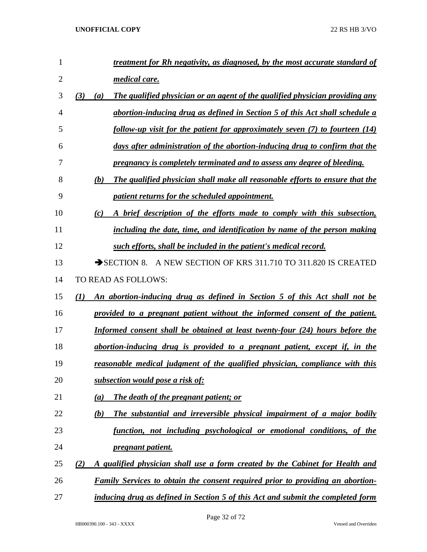| 1              | <u>treatment for Rh negativity, as diagnosed, by the most accurate standard of</u>                      |
|----------------|---------------------------------------------------------------------------------------------------------|
| $\overline{2}$ | medical care.                                                                                           |
| 3              | The qualified physician or an agent of the qualified physician providing any<br>(3)<br>$\left(a\right)$ |
| 4              | abortion-inducing drug as defined in Section 5 of this Act shall schedule a                             |
| 5              | follow-up visit for the patient for approximately seven (7) to fourteen (14)                            |
| 6              | days after administration of the abortion-inducing drug to confirm that the                             |
| 7              | pregnancy is completely terminated and to assess any degree of bleeding.                                |
| 8              | The qualified physician shall make all reasonable efforts to ensure that the<br>(b)                     |
| 9              | patient returns for the scheduled appointment.                                                          |
| 10             | A brief description of the efforts made to comply with this subsection,<br>(c)                          |
| 11             | including the date, time, and identification by name of the person making                               |
| 12             | such efforts, shall be included in the patient's medical record.                                        |
| 13             | A NEW SECTION OF KRS 311.710 TO 311.820 IS CREATED<br>$\rightarrow$ SECTION 8.                          |
| 14             | TO READ AS FOLLOWS:                                                                                     |
| 15             | An abortion-inducing drug as defined in Section 5 of this Act shall not be<br>$\mathcal{L}(I)$          |
| 16             | provided to a pregnant patient without the informed consent of the patient.                             |
| 17             | Informed consent shall be obtained at least twenty-four (24) hours before the                           |
| 18             | abortion-inducing drug is provided to a pregnant patient, except if, in the                             |
| 19             | <u>reasonable medical judgment of the qualified physician, compliance with this</u>                     |
| 20             | subsection would pose a risk of:                                                                        |
| 21             | The death of the pregnant patient; or<br>(a)                                                            |
| 22             | The substantial and irreversible physical impairment of a major bodily<br><u>(b)</u>                    |
| 23             | function, not including psychological or emotional conditions, of the                                   |
| 24             | pregnant patient.                                                                                       |
| 25             | A qualified physician shall use a form created by the Cabinet for Health and<br>(2)                     |
| 26             | <b>Family Services to obtain the consent required prior to providing an abortion-</b>                   |
| 27             | inducing drug as defined in Section 5 of this Act and submit the completed form                         |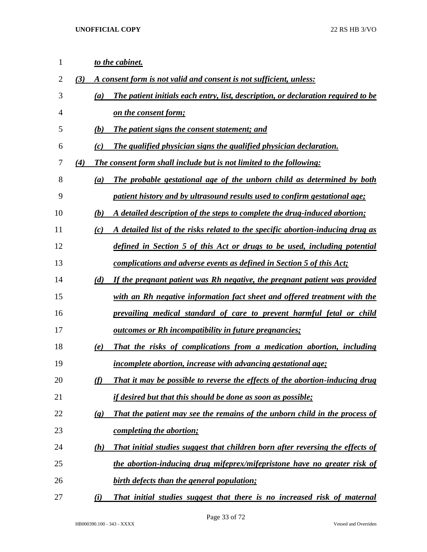| $\mathbf{1}$ |     |                             | to the cabinet.                                                                   |
|--------------|-----|-----------------------------|-----------------------------------------------------------------------------------|
| $\mathbf{2}$ | (3) |                             | A consent form is not valid and consent is not sufficient, unless:                |
| 3            |     | (a)                         | The patient initials each entry, list, description, or declaration required to be |
| 4            |     |                             | on the consent form;                                                              |
| 5            |     | <b>(b)</b>                  | The patient signs the consent statement; and                                      |
| 6            |     | (c)                         | The qualified physician signs the qualified physician declaration.                |
| 7            | (4) |                             | <b>The consent form shall include but is not limited to the following:</b>        |
| 8            |     | (a)                         | The probable gestational age of the unborn child as determined by both            |
| 9            |     |                             | patient history and by ultrasound results used to confirm gestational age;        |
| 10           |     | (b)                         | A detailed description of the steps to complete the drug-induced abortion;        |
| 11           |     | (c)                         | A detailed list of the risks related to the specific abortion-inducing drug as    |
| 12           |     |                             | defined in Section 5 of this Act or drugs to be used, including potential         |
| 13           |     |                             | complications and adverse events as defined in Section 5 of this Act;             |
| 14           |     | (d)                         | If the pregnant patient was Rh negative, the pregnant patient was provided        |
| 15           |     |                             | with an Rh negative information fact sheet and offered treatment with the         |
| 16           |     |                             | prevailing medical standard of care to prevent harmful fetal or child             |
| 17           |     |                             | <u><b>outcomes or Rh incompatibility in future pregnancies;</b></u>               |
| 18           |     | (e)                         | That the risks of complications from a medication abortion, including             |
| 19           |     |                             | <i>incomplete abortion, increase with advancing gestational age;</i>              |
| 20           |     | (f)                         | That it may be possible to reverse the effects of the abortion-inducing drug      |
| 21           |     |                             | <i>if desired but that this should be done as soon as possible;</i>               |
| 22           |     | $\left( \mathbf{g} \right)$ | That the patient may see the remains of the unborn child in the process of        |
| 23           |     |                             | completing the abortion;                                                          |
| 24           |     | (h)                         | That initial studies suggest that children born after reversing the effects of    |
| 25           |     |                             | the abortion-inducing drug mifeprex/mifepristone have no greater risk of          |
| 26           |     |                             | birth defects than the general population;                                        |
| 27           |     | (i)                         | That initial studies suggest that there is no increased risk of maternal          |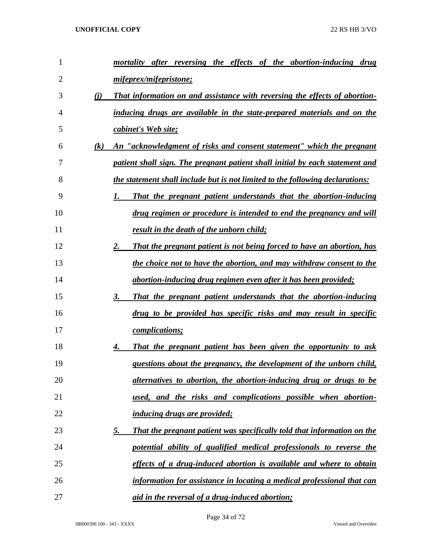| 1              |     | mortality after reversing the effects of the abortion-inducing drug                  |
|----------------|-----|--------------------------------------------------------------------------------------|
| $\overline{2}$ |     | mifeprex/mifepristone;                                                               |
| 3              | (i) | That information on and assistance with reversing the effects of abortion-           |
| 4              |     | inducing drugs are available in the state-prepared materials and on the              |
| 5              |     | cabinet's Web site;                                                                  |
| 6              | (k) | An "acknowledgment of risks and consent statement" which the pregnant                |
| 7              |     | patient shall sign. The pregnant patient shall initial by each statement and         |
| 8              |     | the statement shall include but is not limited to the following declarations:        |
| 9              |     | That the pregnant patient understands that the abortion-inducing<br>1.               |
| 10             |     | drug regimen or procedure is intended to end the pregnancy and will                  |
| 11             |     | result in the death of the unborn child;                                             |
| 12             |     | 2.<br>That the pregnant patient is not being forced to have an abortion, has         |
| 13             |     | the choice not to have the abortion, and may withdraw consent to the                 |
| 14             |     | abortion-inducing drug regimen even after it has been provided;                      |
| 15             |     | 3.<br>That the pregnant patient understands that the abortion-inducing               |
| 16             |     | drug to be provided has specific risks and may result in specific                    |
| 17             |     | <i>complications;</i>                                                                |
| 18             |     | That the pregnant patient has been given the opportunity to ask<br>4.                |
| 19             |     | questions about the pregnancy, the development of the unborn child,                  |
| 20             |     | alternatives to abortion, the abortion-inducing drug or drugs to be                  |
| 21             |     | used, and the risks and complications possible when abortion-                        |
| 22             |     | <i><u><b>inducing drugs are provided;</b></u></i>                                    |
| 23             |     | <u>5.</u><br>That the pregnant patient was specifically told that information on the |
| 24             |     | potential ability of qualified medical professionals to reverse the                  |
| 25             |     | effects of a drug-induced abortion is available and where to obtain                  |
| 26             |     | information for assistance in locating a medical professional that can               |
| 27             |     | aid in the reversal of a drug-induced abortion;                                      |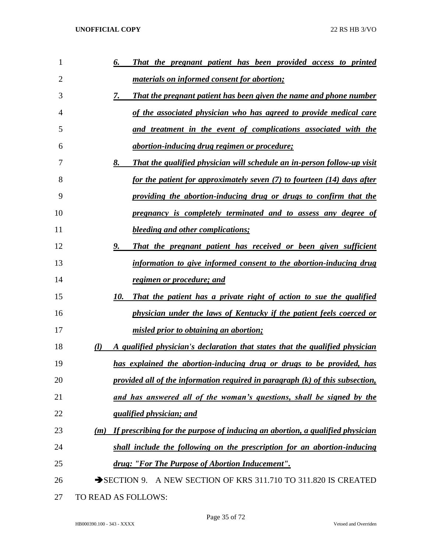| 1              | That the pregnant patient has been provided access to printed<br>6.                  |
|----------------|--------------------------------------------------------------------------------------|
| $\overline{2}$ | <i>materials on informed consent for abortion;</i>                                   |
| 3              | 7.<br>That the pregnant patient has been given the name and phone number             |
| 4              | of the associated physician who has agreed to provide medical care                   |
| 5              | and treatment in the event of complications associated with the                      |
| 6              | <i><u>abortion-inducing drug regimen or procedure;</u></i>                           |
| 7              | 8.<br><b>That the qualified physician will schedule an in-person follow-up visit</b> |
| 8              | for the patient for approximately seven (7) to fourteen (14) days after              |
| 9              | providing the abortion-inducing drug or drugs to confirm that the                    |
| 10             | pregnancy is completely terminated and to assess any degree of                       |
| 11             | <b>bleeding and other complications;</b>                                             |
| 12             | 9.<br>That the pregnant patient has received or been given sufficient                |
| 13             | information to give informed consent to the abortion-inducing drug                   |
| 14             | regimen or procedure; and                                                            |
| 15             | 10.<br>That the patient has a private right of action to sue the qualified           |
| 16             | physician under the laws of Kentucky if the patient feels coerced or                 |
| 17             | misled prior to obtaining an abortion;                                               |
| 18             | A qualified physician's declaration that states that the qualified physician<br>(l)  |
| 19             | has explained the abortion-inducing drug or drugs to be provided, has                |
| 20             | provided all of the information required in paragraph $(k)$ of this subsection,      |
| 21             | and has answered all of the woman's questions, shall be signed by the                |
| 22             | <i><u><b>qualified physician; and</b></u></i>                                        |
| 23             | If prescribing for the purpose of inducing an abortion, a qualified physician<br>(m) |
| 24             | shall include the following on the prescription for an abortion-inducing             |
| 25             | drug: "For The Purpose of Abortion Inducement".                                      |
| 26             | SECTION 9. A NEW SECTION OF KRS 311.710 TO 311.820 IS CREATED                        |
| 27             | TO READ AS FOLLOWS:                                                                  |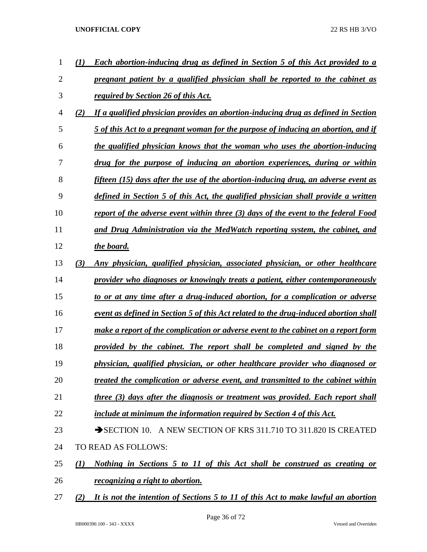| 1              | <b>Each abortion-inducing drug as defined in Section 5 of this Act provided to a</b>      |
|----------------|-------------------------------------------------------------------------------------------|
| $\overline{2}$ | pregnant patient by a qualified physician shall be reported to the cabinet as             |
| 3              | <i>required by Section 26 of this Act.</i>                                                |
| $\overline{4}$ | (2)<br>If a qualified physician provides an abortion-inducing drug as defined in Section  |
| 5              | 5 of this Act to a pregnant woman for the purpose of inducing an abortion, and if         |
| 6              | the qualified physician knows that the woman who uses the abortion-inducing               |
| 7              | drug for the purpose of inducing an abortion experiences, during or within                |
| 8              | fifteen (15) days after the use of the abortion-inducing drug, an adverse event as        |
| 9              | defined in Section 5 of this Act, the qualified physician shall provide a written         |
| 10             | report of the adverse event within three (3) days of the event to the federal Food        |
| 11             | and Drug Administration via the MedWatch reporting system, the cabinet, and               |
| 12             | the board.                                                                                |
| 13             | (3)<br>Any physician, qualified physician, associated physician, or other healthcare      |
| 14             | provider who diagnoses or knowingly treats a patient, either contemporaneously            |
| 15             | to or at any time after a drug-induced abortion, for a complication or adverse            |
| 16             | event as defined in Section 5 of this Act related to the drug-induced abortion shall      |
| 17             | make a report of the complication or adverse event to the cabinet on a report form        |
| 18             | provided by the cabinet. The report shall be completed and signed by the                  |
| 19             | physician, qualified physician, or other healthcare provider who diagnosed or             |
| 20             | treated the complication or adverse event, and transmitted to the cabinet within          |
| 21             | three (3) days after the diagnosis or treatment was provided. Each report shall           |
| 22             | include at minimum the information required by Section 4 of this Act.                     |
| 23             | SECTION 10. A NEW SECTION OF KRS 311.710 TO 311.820 IS CREATED                            |
| 24             | TO READ AS FOLLOWS:                                                                       |
| 25             | Nothing in Sections 5 to 11 of this Act shall be construed as creating or<br>(1)          |
| 26             | <i>recognizing a right to abortion.</i>                                                   |
| 27             | It is not the intention of Sections 5 to 11 of this Act to make lawful an abortion<br>(2) |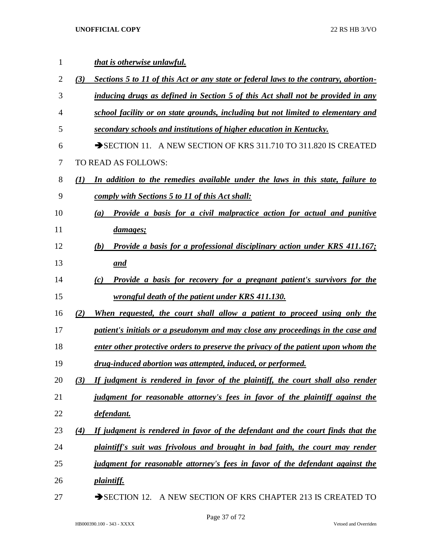| 1  |     | that is otherwise unlawful.                                                             |
|----|-----|-----------------------------------------------------------------------------------------|
| 2  | (3) | Sections 5 to 11 of this Act or any state or federal laws to the contrary, abortion-    |
| 3  |     | inducing drugs as defined in Section 5 of this Act shall not be provided in any         |
| 4  |     | school facility or on state grounds, including but not limited to elementary and        |
| 5  |     | secondary schools and institutions of higher education in Kentucky.                     |
| 6  |     | $\rightarrow$ SECTION 11. A NEW SECTION OF KRS 311.710 TO 311.820 IS CREATED            |
| 7  |     | TO READ AS FOLLOWS:                                                                     |
| 8  | (I) | In addition to the remedies available under the laws in this state, failure to          |
| 9  |     | comply with Sections 5 to 11 of this Act shall:                                         |
| 10 |     | <b>Provide a basis for a civil malpractice action for actual and punitive</b><br>(a)    |
| 11 |     | <i>damages;</i>                                                                         |
| 12 |     | <b>Provide a basis for a professional disciplinary action under KRS 411.167;</b><br>(b) |
| 13 |     | and                                                                                     |
| 14 |     | <b>Provide a basis for recovery for a pregnant patient's survivors for the</b><br>(c)   |
| 15 |     | <u>wrongful death of the patient under KRS 411.130.</u>                                 |
| 16 | (2) | When requested, the court shall allow a patient to proceed using only the               |
| 17 |     | patient's initials or a pseudonym and may close any proceedings in the case and         |
| 18 |     | enter other protective orders to preserve the privacy of the patient upon whom the      |
| 19 |     | drug-induced abortion was attempted, induced, or performed.                             |
| 20 | (3) | If judgment is rendered in favor of the plaintiff, the court shall also render          |
| 21 |     | judgment for reasonable attorney's fees in favor of the plaintiff against the           |
| 22 |     | defendant.                                                                              |
| 23 | (4) | If judgment is rendered in favor of the defendant and the court finds that the          |
| 24 |     | plaintiff's suit was frivolous and brought in bad faith, the court may render           |
| 25 |     | judgment for reasonable attorney's fees in favor of the defendant against the           |
| 26 |     | <i>plaintiff.</i>                                                                       |
| 27 |     | A NEW SECTION OF KRS CHAPTER 213 IS CREATED TO<br>$\rightarrow$ SECTION 12.             |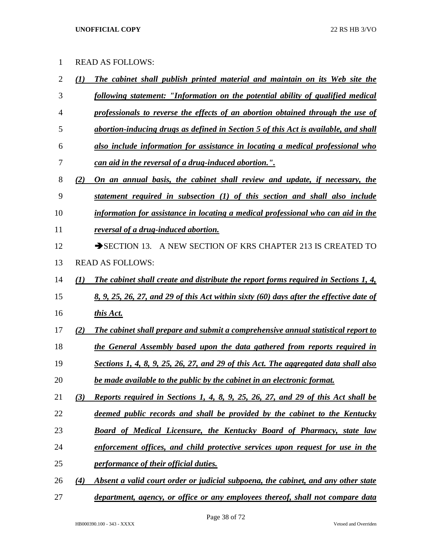| <b>READ AS FOLLOWS:</b> |  |
|-------------------------|--|
|-------------------------|--|

| $\overline{2}$ | $\bf(1)$     | The cabinet shall publish printed material and maintain on its Web site the             |
|----------------|--------------|-----------------------------------------------------------------------------------------|
| 3              |              | following statement: "Information on the potential ability of qualified medical         |
| $\overline{4}$ |              | professionals to reverse the effects of an abortion obtained through the use of         |
| 5              |              | abortion-inducing drugs as defined in Section 5 of this Act is available, and shall     |
| 6              |              | also include information for assistance in locating a medical professional who          |
| 7              |              | can aid in the reversal of a drug-induced abortion.".                                   |
| 8              | (2)          | On an annual basis, the cabinet shall review and update, if necessary, the              |
| 9              |              | statement required in subsection (1) of this section and shall also include             |
| 10             |              | information for assistance in locating a medical professional who can aid in the        |
| 11             |              | reversal of a drug-induced abortion.                                                    |
| 12             |              | SECTION 13. A NEW SECTION OF KRS CHAPTER 213 IS CREATED TO                              |
| 13             |              | <b>READ AS FOLLOWS:</b>                                                                 |
| 14             | $\mathbf{U}$ | The cabinet shall create and distribute the report forms required in Sections 1, 4,     |
| 15             |              | 8, 9, 25, 26, 27, and 29 of this Act within sixty (60) days after the effective date of |
| 16             |              | this Act.                                                                               |
| 17             | (2)          | The cabinet shall prepare and submit a comprehensive annual statistical report to       |
| 18             |              | the General Assembly based upon the data gathered from reports required in              |
| 19             |              | Sections 1, 4, 8, 9, 25, 26, 27, and 29 of this Act. The aggregated data shall also     |
| 20             |              | be made available to the public by the cabinet in an electronic format.                 |
| 21             | (3)          | Reports required in Sections 1, 4, 8, 9, 25, 26, 27, and 29 of this Act shall be        |
| 22             |              | deemed public records and shall be provided by the cabinet to the Kentucky              |
| 23             |              | Board of Medical Licensure, the Kentucky Board of Pharmacy, state law                   |
| 24             |              | enforcement offices, and child protective services upon request for use in the          |
| 25             |              | performance of their official duties.                                                   |
| 26             | (4)          | Absent a valid court order or judicial subpoena, the cabinet, and any other state       |
| 27             |              | department, agency, or office or any employees thereof, shall not compare data          |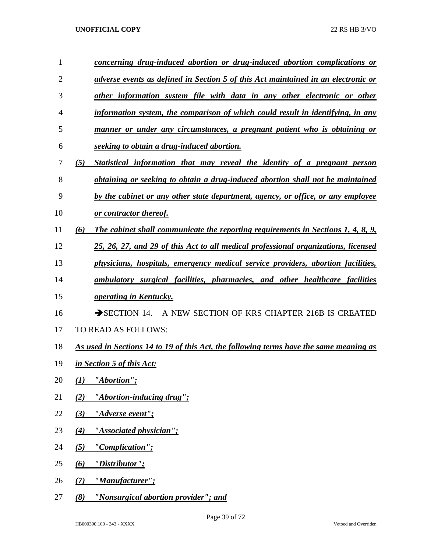| 1              | concerning drug-induced abortion or drug-induced abortion complications or              |
|----------------|-----------------------------------------------------------------------------------------|
| $\overline{2}$ | adverse events as defined in Section 5 of this Act maintained in an electronic or       |
| 3              | other information system file with data in any other electronic or other                |
| 4              | information system, the comparison of which could result in identifying, in any         |
| 5              | manner or under any circumstances, a pregnant patient who is obtaining or               |
| 6              | seeking to obtain a drug-induced abortion.                                              |
| 7              | (5)<br>Statistical information that may reveal the identity of a pregnant person        |
| 8              | obtaining or seeking to obtain a drug-induced abortion shall not be maintained          |
| 9              | by the cabinet or any other state department, agency, or office, or any employee        |
| 10             | or contractor thereof.                                                                  |
| 11             | The cabinet shall communicate the reporting requirements in Sections 1, 4, 8, 9,<br>(6) |
| 12             | 25, 26, 27, and 29 of this Act to all medical professional organizations, licensed      |
| 13             | physicians, hospitals, emergency medical service providers, abortion facilities,        |
| 14             | ambulatory surgical facilities, pharmacies, and other healthcare facilities             |
| 15             | <i><b><u>operating in Kentucky.</u></b></i>                                             |
| 16             | $\rightarrow$ SECTION 14.<br>A NEW SECTION OF KRS CHAPTER 216B IS CREATED               |
| 17             | TO READ AS FOLLOWS:                                                                     |
| 18             | As used in Sections 14 to 19 of this Act, the following terms have the same meaning as  |
| 19             | in Section 5 of this Act:                                                               |
| 20             | "Abortion";<br>(1)                                                                      |
| 21             | "Abortion-inducing drug";<br>(2)                                                        |
| 22             | "Adverse event";<br>(3)                                                                 |
| 23             | "Associated physician";<br>(4)                                                          |
| 24             | "Complication";<br>(5)                                                                  |
| 25             | $\omega$<br><u>"Distributor";</u>                                                       |
| 26             | "Manufacturer";<br>(7)                                                                  |
| 27             | (8)<br>"Nonsurgical abortion provider"; and                                             |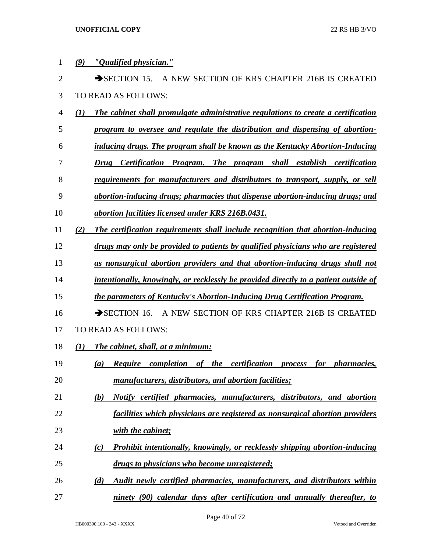| 1              | "Qualified physician."<br>(9)                                                                             |
|----------------|-----------------------------------------------------------------------------------------------------------|
| $\overline{2}$ | $\rightarrow$ SECTION 15.<br>A NEW SECTION OF KRS CHAPTER 216B IS CREATED                                 |
| 3              | TO READ AS FOLLOWS:                                                                                       |
| 4              | The cabinet shall promulgate administrative regulations to create a certification<br>(1)                  |
| 5              | program to oversee and regulate the distribution and dispensing of abortion-                              |
| 6              | inducing drugs. The program shall be known as the Kentucky Abortion-Inducing                              |
| 7              | Certification Program. The program shall establish certification<br>Drug                                  |
| 8              | requirements for manufacturers and distributors to transport, supply, or sell                             |
| 9              | abortion-inducing drugs; pharmacies that dispense abortion-inducing drugs; and                            |
| 10             | abortion facilities licensed under KRS 216B.0431.                                                         |
| 11             | The certification requirements shall include recognition that abortion-inducing<br>(2)                    |
| 12             | drugs may only be provided to patients by qualified physicians who are registered                         |
| 13             | as nonsurgical abortion providers and that abortion-inducing drugs shall not                              |
| 14             | intentionally, knowingly, or recklessly be provided directly to a patient outside of                      |
| 15             | the parameters of Kentucky's Abortion-Inducing Drug Certification Program.                                |
| 16             | A NEW SECTION OF KRS CHAPTER 216B IS CREATED<br>$\rightarrow$ SECTION 16.                                 |
| 17             | TO READ AS FOLLOWS:                                                                                       |
| 18             | The cabinet, shall, at a minimum:<br>(1)                                                                  |
| 19             | <b>Require</b> completion of the certification<br>for <i>pharmacies</i> ,<br>$\left( a\right)$<br>process |
| 20             | manufacturers, distributors, and abortion facilities;                                                     |
| 21             | Notify certified pharmacies, manufacturers, distributors, and abortion<br>(b)                             |
| 22             | facilities which physicians are registered as nonsurgical abortion providers                              |
| 23             | with the cabinet;                                                                                         |
| 24             | Prohibit intentionally, knowingly, or recklessly shipping abortion-inducing<br>$\left( c\right)$          |
| 25             | drugs to physicians who become unregistered;                                                              |
| 26             | Audit newly certified pharmacies, manufacturers, and distributors within<br>(d)                           |
| 27             | ninety (90) calendar days after certification and annually thereafter, to                                 |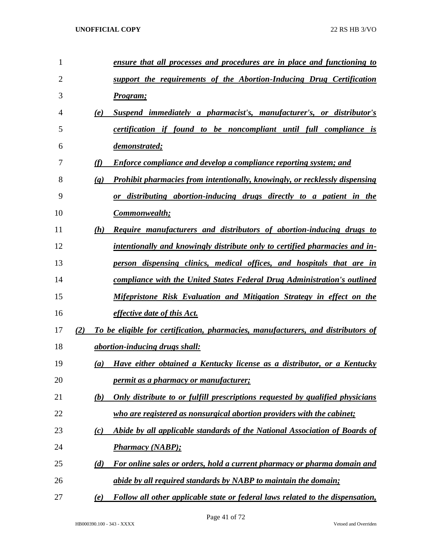| 1              |                             | <u>ensure that all processes and procedures are in place and functioning to</u>    |
|----------------|-----------------------------|------------------------------------------------------------------------------------|
| $\overline{2}$ |                             | support the requirements of the Abortion-Inducing Drug Certification               |
| 3              |                             | Program;                                                                           |
| 4              | (e)                         | Suspend immediately a pharmacist's, manufacturer's, or distributor's               |
| 5              |                             | <i>certification if found to be noncompliant until full compliance is</i>          |
| 6              |                             | demonstrated;                                                                      |
| 7              | (f)                         | <b>Enforce compliance and develop a compliance reporting system; and</b>           |
| 8              | $\left( \mathbf{g} \right)$ | <b>Prohibit pharmacies from intentionally, knowingly, or recklessly dispensing</b> |
| 9              |                             | or distributing abortion-inducing drugs directly to a patient in the               |
| 10             |                             | Commonwealth;                                                                      |
| 11             | (h)                         | Require manufacturers and distributors of abortion-inducing drugs to               |
| 12             |                             | intentionally and knowingly distribute only to certified pharmacies and in-        |
| 13             |                             | person dispensing clinics, medical offices, and hospitals that are in              |
| 14             |                             | compliance with the United States Federal Drug Administration's outlined           |
| 15             |                             | Mifepristone Risk Evaluation and Mitigation Strategy in effect on the              |
| 16             |                             | <i>effective date of this Act.</i>                                                 |
| 17             | (2)                         | To be eligible for certification, pharmacies, manufacturers, and distributors of   |
| 18             |                             | abortion-inducing drugs shall:                                                     |
| 19             | (a)                         | Have either obtained a Kentucky license as a distributor, or a Kentucky            |
| 20             |                             | <i>permit as a pharmacy or manufacturer;</i>                                       |
| 21             | (b)                         | Only distribute to or fulfill prescriptions requested by qualified physicians      |
| 22             |                             | who are registered as nonsurgical abortion providers with the cabinet;             |
| 23             | (c)                         | Abide by all applicable standards of the National Association of Boards of         |
| 24             |                             | <b>Pharmacy (NABP);</b>                                                            |
| 25             | (d)                         | For online sales or orders, hold a current pharmacy or pharma domain and           |
| 26             |                             | abide by all required standards by NABP to maintain the domain;                    |
| 27             | (e)                         | Follow all other applicable state or federal laws related to the dispensation,     |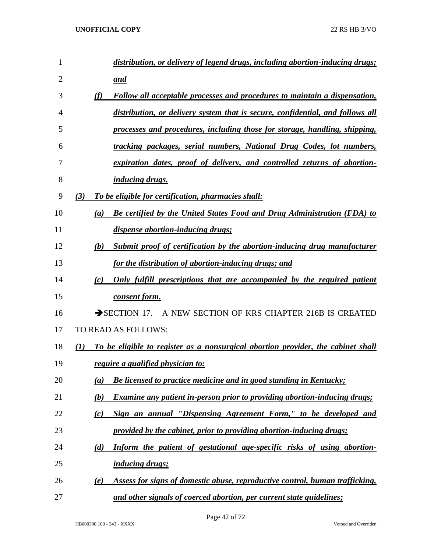| 1              | distribution, or delivery of legend drugs, including abortion-inducing drugs;                  |
|----------------|------------------------------------------------------------------------------------------------|
| $\overline{2}$ | and                                                                                            |
| 3              | (f)<br>Follow all acceptable processes and procedures to maintain a dispensation,              |
| 4              | distribution, or delivery system that is secure, confidential, and follows all                 |
| 5              | processes and procedures, including those for storage, handling, shipping,                     |
| 6              | tracking packages, serial numbers, National Drug Codes, lot numbers,                           |
| 7              | expiration dates, proof of delivery, and controlled returns of abortion-                       |
| 8              | inducing drugs.                                                                                |
| 9              | To be eligible for certification, pharmacies shall:<br>(3)                                     |
| 10             | Be certified by the United States Food and Drug Administration (FDA) to<br>(a)                 |
| 11             | dispense abortion-inducing drugs;                                                              |
| 12             | Submit proof of certification by the abortion-inducing drug manufacturer<br>(b)                |
| 13             | for the distribution of abortion-inducing drugs; and                                           |
| 14             | Only fulfill prescriptions that are accompanied by the required patient<br>(c)                 |
| 15             | consent form.                                                                                  |
| 16             | $\rightarrow$ SECTION 17.<br>A NEW SECTION OF KRS CHAPTER 216B IS CREATED                      |
| 17             | TO READ AS FOLLOWS:                                                                            |
| 18             | To be eligible to register as a nonsurgical abortion provider, the cabinet shall<br>(I)        |
| 19             | require a qualified physician to:                                                              |
| 20             | Be licensed to practice medicine and in good standing in Kentucky;<br>(a)                      |
| 21             | <b>Examine any patient in-person prior to providing abortion-inducing drugs;</b><br><u>(b)</u> |
| 22             | Sign an annual "Dispensing Agreement Form," to be developed and<br>(c)                         |
| 23             | provided by the cabinet, prior to providing abortion-inducing drugs;                           |
| 24             | Inform the patient of gestational age-specific risks of using abortion-<br>(d)                 |
| 25             | <i>inducing drugs;</i>                                                                         |
| 26             | Assess for signs of domestic abuse, reproductive control, human trafficking,<br>(e)            |
| 27             | and other signals of coerced abortion, per current state guidelines;                           |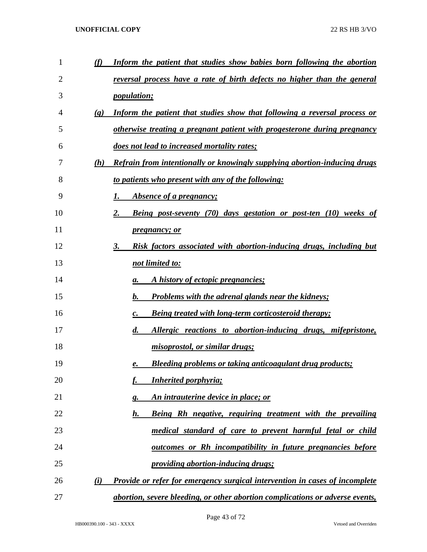| 1  | (f)                         | Inform the patient that studies show babies born following the abortion            |
|----|-----------------------------|------------------------------------------------------------------------------------|
| 2  |                             | reversal process have a rate of birth defects no higher than the general           |
| 3  |                             | <i>population;</i>                                                                 |
| 4  | $\left( \mathbf{g} \right)$ | Inform the patient that studies show that following a reversal process or          |
| 5  |                             | <u>otherwise treating a pregnant patient with progesterone during pregnancy</u>    |
| 6  |                             | does not lead to increased mortality rates;                                        |
| 7  | (h)                         | <b>Refrain from intentionally or knowingly supplying abortion-inducing drugs</b>   |
| 8  |                             | to patients who present with any of the following:                                 |
| 9  |                             | <i><b>Absence of a pregnancy;</b></i>                                              |
| 10 |                             | <b>Being post-seventy (70) days gestation or post-ten (10) weeks of</b><br>2.      |
| 11 |                             | <i>pregnancy; or</i>                                                               |
| 12 |                             | Risk factors associated with abortion-inducing drugs, including but<br>$3_{\cdot}$ |
| 13 |                             | not limited to:                                                                    |
| 14 |                             | A history of ectopic pregnancies;<br>а.                                            |
| 15 |                             | <b>Problems with the adrenal glands near the kidneys;</b><br>b.                    |
| 16 |                             | <b>Being treated with long-term corticosteroid therapy;</b><br>$\boldsymbol{c}$ .  |
| 17 |                             | Allergic reactions to abortion-inducing drugs, mifepristone,<br>$\boldsymbol{d}$ . |
| 18 |                             | misoprostol, or similar drugs;                                                     |
| 19 |                             | Bleeding problems or taking anticoagulant drug products;<br>е.                     |
| 20 |                             | <b>Inherited porphyria;</b>                                                        |
| 21 |                             | An intrauterine device in place; or<br><u>g.</u>                                   |
| 22 |                             | Being Rh negative, requiring treatment with the prevailing<br><u>h.</u>            |
| 23 |                             | medical standard of care to prevent harmful fetal or child                         |
| 24 |                             | <u>outcomes or Rh incompatibility in future pregnancies before</u>                 |
| 25 |                             | <i><u><b>providing abortion-inducing drugs;</b></u></i>                            |
| 26 | $\bf(i)$                    | <b>Provide or refer for emergency surgical intervention in cases of incomplete</b> |
| 27 |                             | abortion, severe bleeding, or other abortion complications or adverse events,      |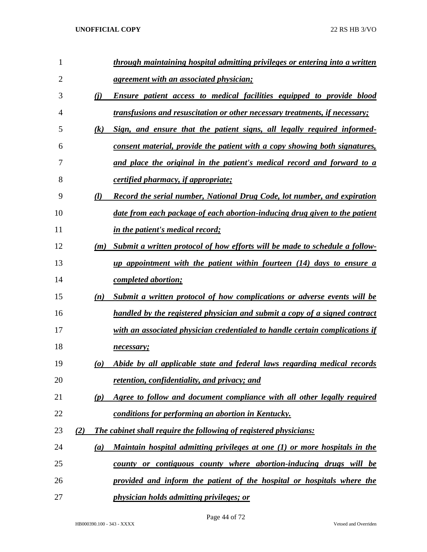| 1              |     |                       | through maintaining hospital admitting privileges or entering into a written       |
|----------------|-----|-----------------------|------------------------------------------------------------------------------------|
| $\overline{2}$ |     |                       | <u>agreement with an associated physician;</u>                                     |
| 3              |     | (i)                   | <b>Ensure patient access to medical facilities equipped to provide blood</b>       |
| 4              |     |                       | <i>transfusions and resuscitation or other necessary treatments, if necessary;</i> |
| 5              |     | $\left( k\right)$     | Sign, and ensure that the patient signs, all legally required informed-            |
| 6              |     |                       | consent material, provide the patient with a copy showing both signatures,         |
| 7              |     |                       | and place the original in the patient's medical record and forward to a            |
| 8              |     |                       | certified pharmacy, if appropriate;                                                |
| 9              |     | (l)                   | Record the serial number, National Drug Code, lot number, and expiration           |
| 10             |     |                       | date from each package of each abortion-inducing drug given to the patient         |
| 11             |     |                       | <i>in the patient's medical record;</i>                                            |
| 12             |     | (m)                   | Submit a written protocol of how efforts will be made to schedule a follow-        |
| 13             |     |                       | up appointment with the patient within fourteen (14) days to ensure a              |
| 14             |     |                       | <i>completed abortion;</i>                                                         |
| 15             |     | (n)                   | Submit a written protocol of how complications or adverse events will be           |
| 16             |     |                       | handled by the registered physician and submit a copy of a signed contract         |
| 17             |     |                       | with an associated physician credentialed to handle certain complications if       |
| 18             |     |                       | necessary;                                                                         |
| 19             |     | $\boldsymbol{\omega}$ | Abide by all applicable state and federal laws regarding medical records           |
| 20             |     |                       | retention, confidentiality, and privacy; and                                       |
| 21             |     | (p)                   | Agree to follow and document compliance with all other legally required            |
| 22             |     |                       | conditions for performing an abortion in Kentucky.                                 |
| 23             | (2) |                       | <b>The cabinet shall require the following of registered physicians:</b>           |
| 24             |     | (a)                   | Maintain hospital admitting privileges at one (1) or more hospitals in the         |
| 25             |     |                       | county or contiguous county where abortion-inducing drugs will be                  |
| 26             |     |                       | provided and inform the patient of the hospital or hospitals where the             |
| 27             |     |                       | <i>physician holds admitting privileges; or</i>                                    |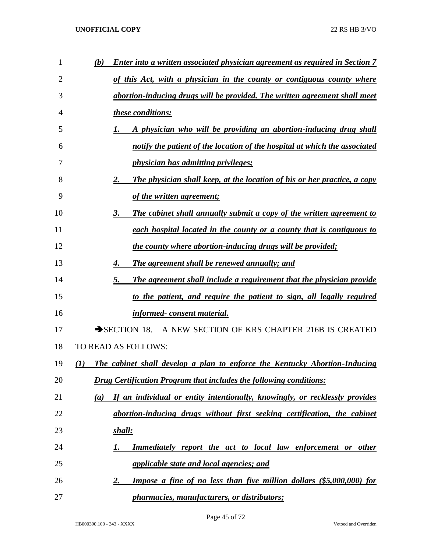| 1  | <u>Enter into a written associated physician agreement as required in Section 7</u><br>(b) |
|----|--------------------------------------------------------------------------------------------|
| 2  | of this Act, with a physician in the county or contiguous county where                     |
| 3  | abortion-inducing drugs will be provided. The written agreement shall meet                 |
| 4  | these conditions:                                                                          |
| 5  | A physician who will be providing an abortion-inducing drug shall                          |
| 6  | notify the patient of the location of the hospital at which the associated                 |
| 7  | <i>physician has admitting privileges;</i>                                                 |
| 8  | <b>The physician shall keep, at the location of his or her practice, a copy</b><br>2.      |
| 9  | of the written agreement;                                                                  |
| 10 | <b>The cabinet shall annually submit a copy of the written agreement to</b><br>3.          |
| 11 | each hospital located in the county or a county that is contiguous to                      |
| 12 | the county where abortion-inducing drugs will be provided;                                 |
| 13 | <b>The agreement shall be renewed annually; and</b><br>4.                                  |
| 14 | The agreement shall include a requirement that the physician provide<br>5.                 |
| 15 | to the patient, and require the patient to sign, all legally required                      |
| 16 | <u>informed-consent material.</u>                                                          |
| 17 | $\rightarrow$ SECTION 18.<br>A NEW SECTION OF KRS CHAPTER 216B IS CREATED                  |
| 18 | TO READ AS FOLLOWS:                                                                        |
| 19 | The cabinet shall develop a plan to enforce the Kentucky Abortion-Inducing<br>(I)          |
| 20 | <b>Drug Certification Program that includes the following conditions:</b>                  |
| 21 | If an individual or entity intentionally, knowingly, or recklessly provides<br>(a)         |
| 22 | abortion-inducing drugs without first seeking certification, the cabinet                   |
| 23 | <u>shall:</u>                                                                              |
| 24 | <b>Immediately report the act to local law enforcement or other</b><br>I.                  |
| 25 | <i>applicable state and local agencies; and</i>                                            |
| 26 | <b>Impose a fine of no less than five million dollars (\$5,000,000) for</b><br><u>2.</u>   |
| 27 | pharmacies, manufacturers, or distributors;                                                |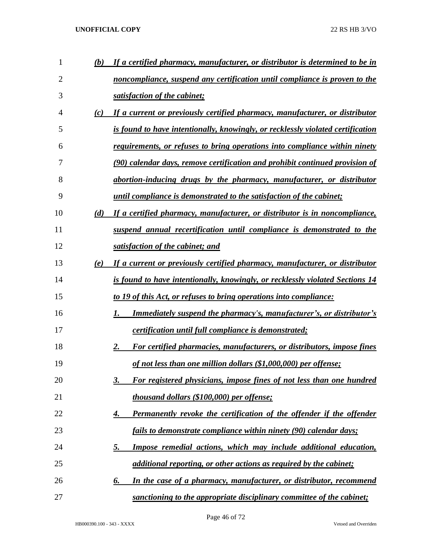| 1  | (b) | If a certified pharmacy, manufacturer, or distributor is determined to be in      |
|----|-----|-----------------------------------------------------------------------------------|
| 2  |     | noncompliance, suspend any certification until compliance is proven to the        |
| 3  |     | satisfaction of the cabinet;                                                      |
| 4  | (c) | If a current or previously certified pharmacy, manufacturer, or distributor       |
| 5  |     | is found to have intentionally, knowingly, or recklessly violated certification   |
| 6  |     | <u>requirements, or refuses to bring operations into compliance within ninety</u> |
| 7  |     | (90) calendar days, remove certification and prohibit continued provision of      |
| 8  |     | abortion-inducing drugs by the pharmacy, manufacturer, or distributor             |
| 9  |     | <i>until compliance is demonstrated to the satisfaction of the cabinet;</i>       |
| 10 | (d) | If a certified pharmacy, manufacturer, or distributor is in noncompliance,        |
| 11 |     | suspend annual recertification until compliance is demonstrated to the            |
| 12 |     | satisfaction of the cabinet; and                                                  |
| 13 | (e) | If a current or previously certified pharmacy, manufacturer, or distributor       |
| 14 |     | is found to have intentionally, knowingly, or recklessly violated Sections 14     |
| 15 |     | to 19 of this Act, or refuses to bring operations into compliance:                |
| 16 |     | <u>Immediately suspend the pharmacy's, manufacturer's, or distributor's</u><br>1. |
| 17 |     | <i>certification until full compliance is demonstrated;</i>                       |
| 18 |     | For certified pharmacies, manufacturers, or distributors, impose fines<br>2.      |
| 19 |     | of not less than one million dollars (\$1,000,000) per offense;                   |
| 20 |     | For registered physicians, impose fines of not less than one hundred<br>3.        |
| 21 |     | thousand dollars (\$100,000) per offense;                                         |
| 22 |     | <b>Permanently revoke the certification of the offender if the offender</b><br>4. |
| 23 |     | fails to demonstrate compliance within ninety (90) calendar days;                 |
| 24 |     | Impose remedial actions, which may include additional education,<br><u>5.</u>     |
| 25 |     | additional reporting, or other actions as required by the cabinet;                |
| 26 |     | In the case of a pharmacy, manufacturer, or distributor, recommend<br>6.          |
| 27 |     | sanctioning to the appropriate disciplinary committee of the cabinet;             |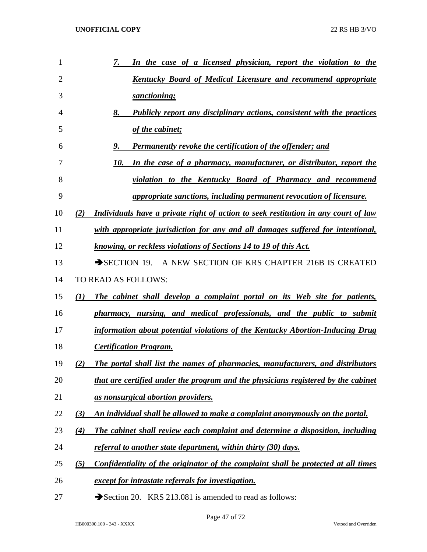| 1              | 7.<br>In the case of a licensed physician, report the violation to the                    |
|----------------|-------------------------------------------------------------------------------------------|
| $\overline{2}$ | <b>Kentucky Board of Medical Licensure and recommend appropriate</b>                      |
| 3              | sanctioning;                                                                              |
| 4              | <b>Publicly report any disciplinary actions, consistent with the practices</b><br>8.      |
| 5              | of the cabinet;                                                                           |
| 6              | <b>Permanently revoke the certification of the offender; and</b><br>9.                    |
| 7              | In the case of a pharmacy, manufacturer, or distributor, report the<br>10.                |
| 8              | violation to the Kentucky Board of Pharmacy and recommend                                 |
| 9              | <i>appropriate sanctions, including permanent revocation of licensure.</i>                |
| 10             | Individuals have a private right of action to seek restitution in any court of law<br>(2) |
| 11             | with appropriate jurisdiction for any and all damages suffered for intentional,           |
| 12             | knowing, or reckless violations of Sections 14 to 19 of this Act.                         |
| 13             | SECTION 19. A NEW SECTION OF KRS CHAPTER 216B IS CREATED                                  |
| 14             | TO READ AS FOLLOWS:                                                                       |
| 15             | The cabinet shall develop a complaint portal on its Web site for patients,<br>(1)         |
| 16             | pharmacy, nursing, and medical professionals, and the public to submit                    |
| 17             | information about potential violations of the Kentucky Abortion-Inducing Drug             |
| 18             | <b>Certification Program.</b>                                                             |
| 19             | The portal shall list the names of pharmacies, manufacturers, and distributors<br>(2)     |
| 20             | that are certified under the program and the physicians registered by the cabinet         |
| 21             | as nonsurgical abortion providers.                                                        |
| 22             | An individual shall be allowed to make a complaint anonymously on the portal.<br>(3)      |
| 23             | The cabinet shall review each complaint and determine a disposition, including<br>(4)     |
| 24             | referral to another state department, within thirty (30) days.                            |
| 25             | Confidentiality of the originator of the complaint shall be protected at all times<br>(5) |
| 26             | except for intrastate referrals for investigation.                                        |
| 27             | Section 20. KRS 213.081 is amended to read as follows:                                    |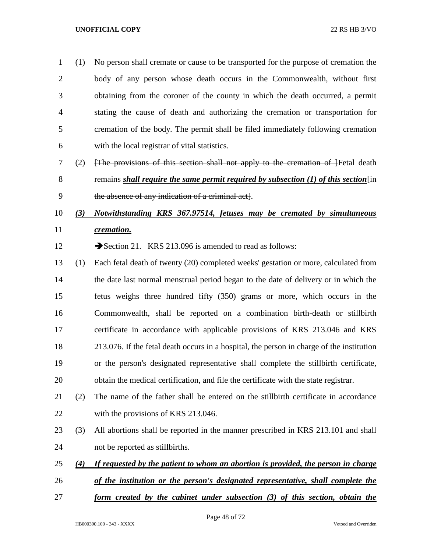(1) No person shall cremate or cause to be transported for the purpose of cremation the body of any person whose death occurs in the Commonwealth, without first obtaining from the coroner of the county in which the death occurred, a permit stating the cause of death and authorizing the cremation or transportation for cremation of the body. The permit shall be filed immediately following cremation with the local registrar of vital statistics.

 (2) [The provisions of this section shall not apply to the cremation of ]Fetal death 8 remains *shall require the same permit required by subsection (1) of this section*  $\overline{f}$ the absence of any indication of a criminal act].

# *(3) Notwithstanding KRS 367.97514, fetuses may be cremated by simultaneous cremation.*

12 Section 21. KRS 213.096 is amended to read as follows:

- (1) Each fetal death of twenty (20) completed weeks' gestation or more, calculated from the date last normal menstrual period began to the date of delivery or in which the fetus weighs three hundred fifty (350) grams or more, which occurs in the Commonwealth, shall be reported on a combination birth-death or stillbirth certificate in accordance with applicable provisions of KRS 213.046 and KRS 213.076. If the fetal death occurs in a hospital, the person in charge of the institution or the person's designated representative shall complete the stillbirth certificate, obtain the medical certification, and file the certificate with the state registrar.
- (2) The name of the father shall be entered on the stillbirth certificate in accordance 22 with the provisions of KRS 213.046.
- (3) All abortions shall be reported in the manner prescribed in KRS 213.101 and shall not be reported as stillbirths.
- *(4) If requested by the patient to whom an abortion is provided, the person in charge*
- *of the institution or the person's designated representative, shall complete the*
- *form created by the cabinet under subsection (3) of this section, obtain the*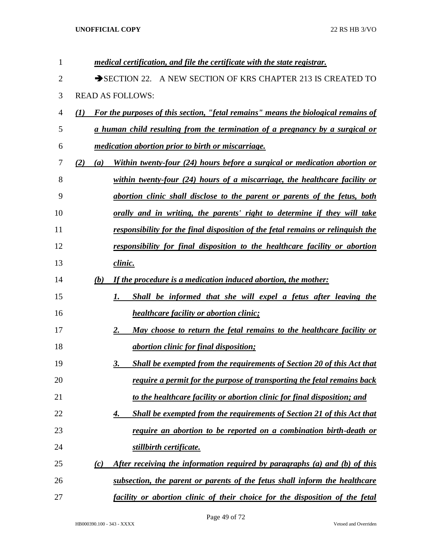| 1              | medical certification, and file the certificate with the state registrar.                |
|----------------|------------------------------------------------------------------------------------------|
| $\overline{2}$ | SECTION 22. A NEW SECTION OF KRS CHAPTER 213 IS CREATED TO                               |
| 3              | <b>READ AS FOLLOWS:</b>                                                                  |
| 4              | For the purposes of this section, "fetal remains" means the biological remains of<br>(I) |
| 5              | a human child resulting from the termination of a pregnancy by a surgical or             |
| 6              | <i>medication abortion prior to birth or miscarriage.</i>                                |
| 7              | Within twenty-four (24) hours before a surgical or medication abortion or<br>(2)<br>(a)  |
| 8              | within twenty-four $(24)$ hours of a miscarriage, the healthcare facility or             |
| 9              | abortion clinic shall disclose to the parent or parents of the fetus, both               |
| 10             | orally and in writing, the parents' right to determine if they will take                 |
| 11             | responsibility for the final disposition of the fetal remains or relinguish the          |
| 12             | responsibility for final disposition to the healthcare facility or abortion              |
| 13             | clinic.                                                                                  |
| 14             | If the procedure is a medication induced abortion, the mother:<br>(b)                    |
| 15             | Shall be informed that she will expel a fetus after leaving the<br>1.                    |
| 16             | <i>healthcare facility or abortion clinic;</i>                                           |
| 17             | 2.<br>May choose to return the fetal remains to the healthcare facility or               |
| 18             | <i><u>abortion clinic for final disposition;</u></i>                                     |
| 19             | Shall be exempted from the requirements of Section 20 of this Act that<br>3.             |
| 20             | require a permit for the purpose of transporting the fetal remains back                  |
| 21             | to the healthcare facility or abortion clinic for final disposition; and                 |
| 22             | <b>Shall be exempted from the requirements of Section 21 of this Act that</b><br>4.      |
| 23             | require an abortion to be reported on a combination birth-death or                       |
| 24             | stillbirth certificate.                                                                  |
| 25             | After receiving the information required by paragraphs (a) and (b) of this<br>(c)        |
| 26             | subsection, the parent or parents of the fetus shall inform the healthcare               |
| 27             | facility or abortion clinic of their choice for the disposition of the fetal             |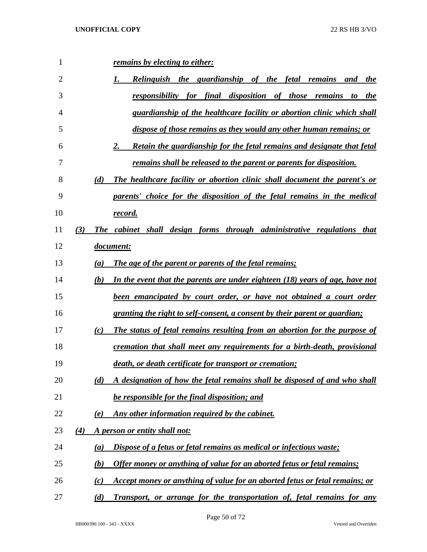| 1  |     |     | remains by electing to either:                                                 |
|----|-----|-----|--------------------------------------------------------------------------------|
| 2  |     |     | Relinguish the guardianship of the fetal remains and the                       |
| 3  |     |     | responsibility for final disposition of those remains to the                   |
| 4  |     |     | guardianship of the healthcare facility or abortion clinic which shall         |
| 5  |     |     | dispose of those remains as they would any other human remains; or             |
| 6  |     |     | Retain the guardianship for the fetal remains and designate that fetal<br>2.   |
| 7  |     |     | remains shall be released to the parent or parents for disposition.            |
| 8  |     | (d) | The healthcare facility or abortion clinic shall document the parent's or      |
| 9  |     |     | parents' choice for the disposition of the fetal remains in the medical        |
| 10 |     |     | record.                                                                        |
| 11 | (3) |     | The cabinet shall design forms through administrative regulations that         |
| 12 |     |     | <i>document:</i>                                                               |
| 13 |     | (a) | <b>The age of the parent or parents of the fetal remains;</b>                  |
| 14 |     | (b) | In the event that the parents are under eighteen $(18)$ years of age, have not |
| 15 |     |     | been emancipated by court order, or have not obtained a court order            |
| 16 |     |     | granting the right to self-consent, a consent by their parent or guardian;     |
| 17 |     | (c) | The status of fetal remains resulting from an abortion for the purpose of      |
| 18 |     |     | cremation that shall meet any requirements for a birth-death, provisional      |
| 19 |     |     | death, or death certificate for transport or cremation;                        |
| 20 |     | (d) | A designation of how the fetal remains shall be disposed of and who shall      |
| 21 |     |     | be responsible for the final disposition; and                                  |
| 22 |     | (e) | Any other information required by the cabinet.                                 |
| 23 | (4) |     | A person or entity shall not:                                                  |
| 24 |     | (a) | Dispose of a fetus or fetal remains as medical or infectious waste;            |
| 25 |     | (b) | Offer money or anything of value for an aborted fetus or fetal remains;        |
| 26 |     | (c) | Accept money or anything of value for an aborted fetus or fetal remains; or    |
| 27 |     | (d) | Transport, or arrange for the transportation of, fetal remains for any         |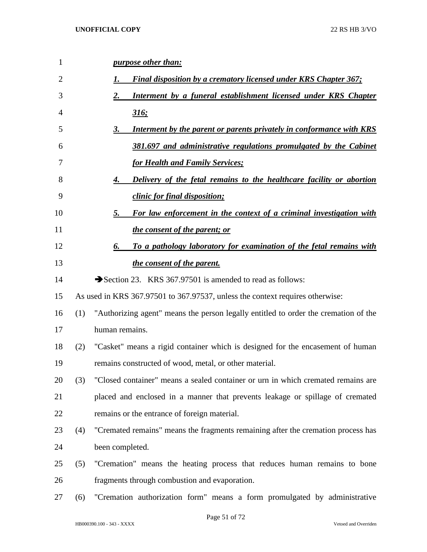| $\mathbf{1}$ |     | <i>purpose other than:</i>                                                          |
|--------------|-----|-------------------------------------------------------------------------------------|
| 2            |     | Final disposition by a crematory licensed under KRS Chapter 367;<br>1.              |
| 3            |     | 2.<br>Interment by a funeral establishment licensed under KRS Chapter               |
| 4            |     | 316:                                                                                |
| 5            |     | Interment by the parent or parents privately in conformance with KRS<br>3.          |
| 6            |     | 381.697 and administrative regulations promulgated by the Cabinet                   |
| 7            |     | <u>for Health and Family Services;</u>                                              |
| 8            |     | <b>Delivery of the fetal remains to the healthcare facility or abortion</b><br>4.   |
| 9            |     | clinic for final disposition;                                                       |
| 10           |     | For law enforcement in the context of a criminal investigation with<br>5.           |
| 11           |     | the consent of the parent; or                                                       |
| 12           |     | To a pathology laboratory for examination of the fetal remains with<br>6.           |
| 13           |     | <i>the consent of the parent.</i>                                                   |
| 14           |     | Section 23. KRS 367.97501 is amended to read as follows:                            |
| 15           |     | As used in KRS 367.97501 to 367.97537, unless the context requires otherwise:       |
| 16           | (1) | "Authorizing agent" means the person legally entitled to order the cremation of the |
| 17           |     | human remains.                                                                      |
| 18           | (2) | "Casket" means a rigid container which is designed for the encasement of human      |
| 19           |     | remains constructed of wood, metal, or other material.                              |
| 20           | (3) | "Closed container" means a sealed container or urn in which cremated remains are    |
| 21           |     | placed and enclosed in a manner that prevents leakage or spillage of cremated       |
| 22           |     | remains or the entrance of foreign material.                                        |
| 23           | (4) | "Cremated remains" means the fragments remaining after the cremation process has    |
| 24           |     | been completed.                                                                     |
| 25           | (5) | "Cremation" means the heating process that reduces human remains to bone            |
| 26           |     | fragments through combustion and evaporation.                                       |
| 27           | (6) | "Cremation authorization form" means a form promulgated by administrative           |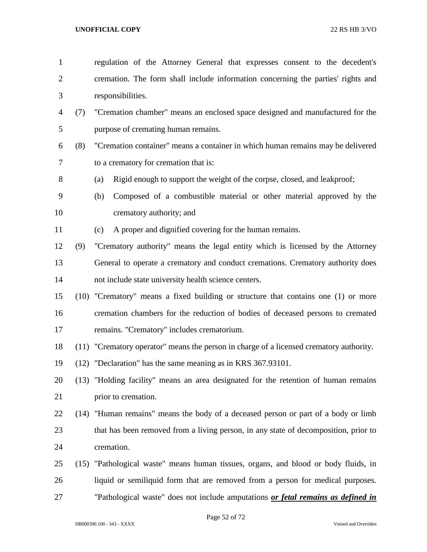regulation of the Attorney General that expresses consent to the decedent's cremation. The form shall include information concerning the parties' rights and responsibilities. (7) "Cremation chamber" means an enclosed space designed and manufactured for the purpose of cremating human remains. (8) "Cremation container" means a container in which human remains may be delivered to a crematory for cremation that is: (a) Rigid enough to support the weight of the corpse, closed, and leakproof; (b) Composed of a combustible material or other material approved by the crematory authority; and (c) A proper and dignified covering for the human remains. (9) "Crematory authority" means the legal entity which is licensed by the Attorney General to operate a crematory and conduct cremations. Crematory authority does not include state university health science centers. (10) "Crematory" means a fixed building or structure that contains one (1) or more cremation chambers for the reduction of bodies of deceased persons to cremated remains. "Crematory" includes crematorium. (11) "Crematory operator" means the person in charge of a licensed crematory authority. (12) "Declaration" has the same meaning as in KRS 367.93101. (13) "Holding facility" means an area designated for the retention of human remains prior to cremation. (14) "Human remains" means the body of a deceased person or part of a body or limb that has been removed from a living person, in any state of decomposition, prior to cremation. (15) "Pathological waste" means human tissues, organs, and blood or body fluids, in liquid or semiliquid form that are removed from a person for medical purposes. "Pathological waste" does not include amputations *or fetal remains as defined in* 

Page 52 of 72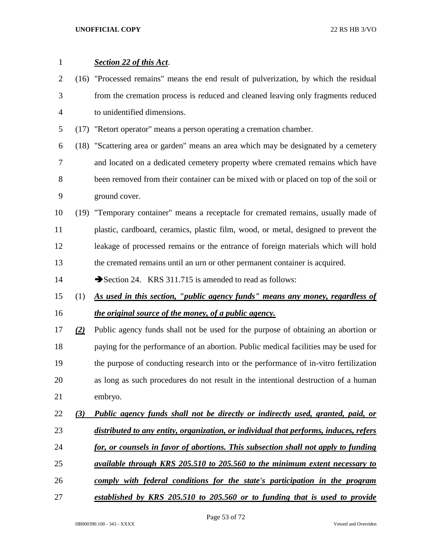| $\mathbf{1}$   |     | <b>Section 22 of this Act.</b>                                                        |
|----------------|-----|---------------------------------------------------------------------------------------|
| $\overline{2}$ |     | (16) "Processed remains" means the end result of pulverization, by which the residual |
| 3              |     | from the cremation process is reduced and cleaned leaving only fragments reduced      |
| $\overline{4}$ |     | to unidentified dimensions.                                                           |
| 5              |     | (17) "Retort operator" means a person operating a cremation chamber.                  |
| 6              |     | (18) "Scattering area or garden" means an area which may be designated by a cemetery  |
| 7              |     | and located on a dedicated cemetery property where cremated remains which have        |
| 8              |     | been removed from their container can be mixed with or placed on top of the soil or   |
| 9              |     | ground cover.                                                                         |
| 10             |     | (19) "Temporary container" means a receptacle for cremated remains, usually made of   |
| 11             |     | plastic, cardboard, ceramics, plastic film, wood, or metal, designed to prevent the   |
| 12             |     | leakage of processed remains or the entrance of foreign materials which will hold     |
| 13             |     | the cremated remains until an urn or other permanent container is acquired.           |
| 14             |     | Section 24. KRS 311.715 is amended to read as follows:                                |
|                |     |                                                                                       |
| 15             | (1) | As used in this section, "public agency funds" means any money, regardless of         |
| 16             |     | the original source of the money, of a public agency.                                 |
| 17             | (2) | Public agency funds shall not be used for the purpose of obtaining an abortion or     |
| 18             |     | paying for the performance of an abortion. Public medical facilities may be used for  |
| 19             |     | the purpose of conducting research into or the performance of in-vitro fertilization  |
| 20             |     | as long as such procedures do not result in the intentional destruction of a human    |
| 21             |     | embryo.                                                                               |
| 22             | (3) | Public agency funds shall not be directly or indirectly used, granted, paid, or       |
| 23             |     | distributed to any entity, organization, or individual that performs, induces, refers |
| 24             |     | for, or counsels in favor of abortions. This subsection shall not apply to funding    |
| 25             |     | available through KRS 205.510 to 205.560 to the minimum extent necessary to           |
| 26             |     | comply with federal conditions for the state's participation in the program           |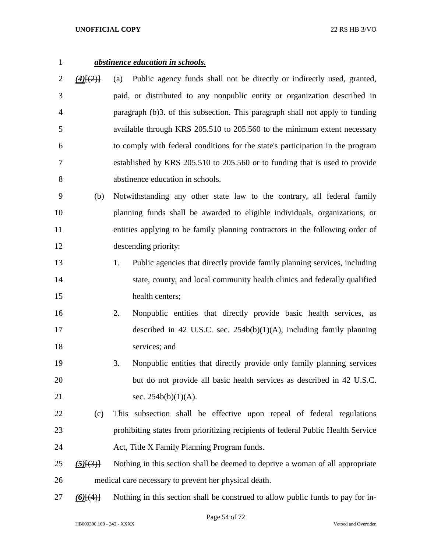## *abstinence education in schools.*

- *(4)*[(2)] (a) Public agency funds shall not be directly or indirectly used, granted, paid, or distributed to any nonpublic entity or organization described in paragraph (b)3. of this subsection. This paragraph shall not apply to funding available through KRS 205.510 to 205.560 to the minimum extent necessary to comply with federal conditions for the state's participation in the program established by KRS 205.510 to 205.560 or to funding that is used to provide abstinence education in schools.
- (b) Notwithstanding any other state law to the contrary, all federal family planning funds shall be awarded to eligible individuals, organizations, or entities applying to be family planning contractors in the following order of descending priority:
- 1. Public agencies that directly provide family planning services, including 14 state, county, and local community health clinics and federally qualified health centers;
- 2. Nonpublic entities that directly provide basic health services, as described in 42 U.S.C. sec. 254b(b)(1)(A), including family planning services; and
- 3. Nonpublic entities that directly provide only family planning services but do not provide all basic health services as described in 42 U.S.C. 21 sec. 254b(b)(1)(A).
- (c) This subsection shall be effective upon repeal of federal regulations prohibiting states from prioritizing recipients of federal Public Health Service Act, Title X Family Planning Program funds.
- *(5)*[(3)] Nothing in this section shall be deemed to deprive a woman of all appropriate medical care necessary to prevent her physical death.
- *(6)*[(4)] Nothing in this section shall be construed to allow public funds to pay for in-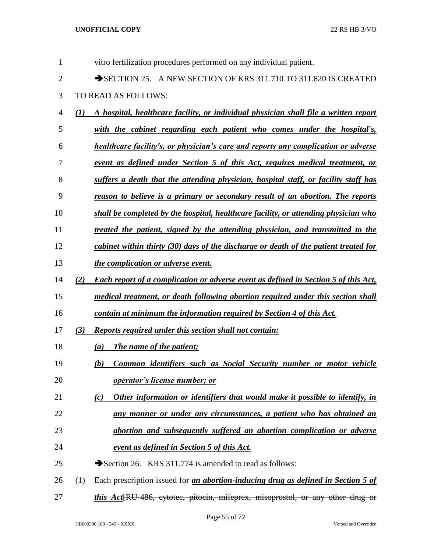| $\mathbf{1}$   |          | vitro fertilization procedures performed on any individual patient.                         |
|----------------|----------|---------------------------------------------------------------------------------------------|
| $\mathbf{2}$   |          | SECTION 25. A NEW SECTION OF KRS 311.710 TO 311.820 IS CREATED                              |
| 3              |          | TO READ AS FOLLOWS:                                                                         |
| $\overline{4}$ | $\bf(1)$ | A hospital, healthcare facility, or individual physician shall file a written report        |
| 5              |          | with the cabinet regarding each patient who comes under the hospital's,                     |
| 6              |          | <b>healthcare facility's, or physician's care and reports any complication or adverse</b>   |
| 7              |          | <u>event as defined under Section 5 of this Act, requires medical treatment, or</u>         |
| 8              |          | suffers a death that the attending physician, hospital staff, or facility staff has         |
| 9              |          | reason to believe is a primary or secondary result of an abortion. The reports              |
| 10             |          | shall be completed by the hospital, healthcare facility, or attending physician who         |
| 11             |          | treated the patient, signed by the attending physician, and transmitted to the              |
| 12             |          | cabinet within thirty (30) days of the discharge or death of the patient treated for        |
| 13             |          | the complication or adverse event.                                                          |
| 14             | (2)      | <b>Each report of a complication or adverse event as defined in Section 5 of this Act,</b>  |
| 15             |          | medical treatment, or death following abortion required under this section shall            |
| 16             |          | contain at minimum the information required by Section 4 of this Act.                       |
| 17             | (3)      | <b>Reports required under this section shall not contain:</b>                               |
| 18             |          | <b>The name of the patient;</b><br>(a)                                                      |
| 19             |          | Common identifiers such as Social Security number or motor vehicle<br><u>(b)</u>            |
| 20             |          | operator's license number; or                                                               |
| 21             |          | Other information or identifiers that would make it possible to identify, in<br>(c)         |
| 22             |          | any manner or under any circumstances, a patient who has obtained an                        |
| 23             |          | abortion and subsequently suffered an abortion complication or adverse                      |
| 24             |          | <u>event as defined in Section 5 of this Act.</u>                                           |
| 25             |          | Section 26. KRS 311.774 is amended to read as follows:                                      |
| 26             | (1)      | Each prescription issued for <i>an abortion-inducing drug as defined in Section 5 of</i>    |
| 27             |          | this Act <sup>[RU-486</sup> , eytotec, pitocin, mifeprex, misoprostol, or any other drug or |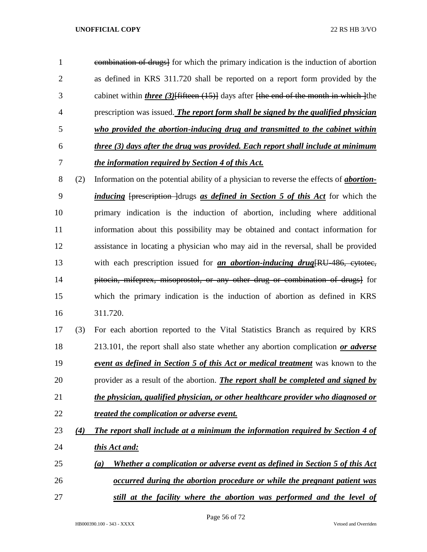| 1              |     | combination of drugs] for which the primary indication is the induction of abortion                                                         |
|----------------|-----|---------------------------------------------------------------------------------------------------------------------------------------------|
| 2              |     | as defined in KRS 311.720 shall be reported on a report form provided by the                                                                |
| 3              |     | cabinet within <i>three</i> (3) $\left\{\text{fifteen (15)}\right\}$ days after $\left\{\text{the end of the month in which } \right\}$ the |
| $\overline{4}$ |     | prescription was issued. The report form shall be signed by the qualified physician                                                         |
| 5              |     | who provided the abortion-inducing drug and transmitted to the cabinet within                                                               |
| 6              |     | three (3) days after the drug was provided. Each report shall include at minimum                                                            |
| 7              |     | the information required by Section 4 of this Act.                                                                                          |
| 8              | (2) | Information on the potential ability of a physician to reverse the effects of <b>abortion</b> -                                             |

- *inducing* [prescription ]drugs *as defined in Section 5 of this Act* for which the primary indication is the induction of abortion, including where additional information about this possibility may be obtained and contact information for assistance in locating a physician who may aid in the reversal, shall be provided with each prescription issued for *an abortion-inducing drug*[RU-486, cytotec, 14 pitocin, mifeprex, misoprostol, or any other drug or combination of drugs] for which the primary indication is the induction of abortion as defined in KRS 311.720.
- (3) For each abortion reported to the Vital Statistics Branch as required by KRS 213.101, the report shall also state whether any abortion complication *or adverse event as defined in Section 5 of this Act or medical treatment* was known to the provider as a result of the abortion. *The report shall be completed and signed by the physician, qualified physician, or other healthcare provider who diagnosed or treated the complication or adverse event.*
- *(4) The report shall include at a minimum the information required by Section 4 of this Act and:*
- *(a) Whether a complication or adverse event as defined in Section 5 of this Act occurred during the abortion procedure or while the pregnant patient was*
- *still at the facility where the abortion was performed and the level of*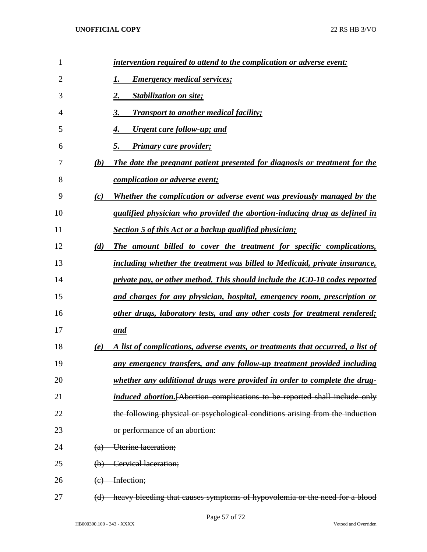| 1  |                           | intervention required to attend to the complication or adverse event:              |
|----|---------------------------|------------------------------------------------------------------------------------|
| 2  |                           | <b>Emergency medical services;</b>                                                 |
| 3  |                           | <b>Stabilization on site;</b><br>2.                                                |
| 4  |                           | 3.<br><b>Transport to another medical facility;</b>                                |
| 5  |                           | <u><b>Urgent care follow-up; and</b></u><br>4.                                     |
| 6  |                           | <b>Primary care provider;</b><br>5.                                                |
| 7  | (b)                       | The date the pregnant patient presented for diagnosis or treatment for the         |
| 8  |                           | <i>complication or adverse event;</i>                                              |
| 9  | (c)                       | Whether the complication or adverse event was previously managed by the            |
| 10 |                           | qualified physician who provided the abortion-inducing drug as defined in          |
| 11 |                           | Section 5 of this Act or a backup qualified physician;                             |
| 12 | (d)                       | The amount billed to cover the treatment for specific complications,               |
| 13 |                           | including whether the treatment was billed to Medicaid, private insurance,         |
| 14 |                           | private pay, or other method. This should include the ICD-10 codes reported        |
| 15 |                           | and charges for any physician, hospital, emergency room, prescription or           |
| 16 |                           | other drugs, laboratory tests, and any other costs for treatment rendered;         |
| 17 |                           | and                                                                                |
| 18 | (e)                       | A list of complications, adverse events, or treatments that occurred, a list of    |
| 19 |                           | <u>any emergency transfers, and any follow-up treatment provided including</u>     |
| 20 |                           | whether any additional drugs were provided in order to complete the drug-          |
| 21 |                           | <i>induced abortion.</i> [Abortion complications to be reported shall include only |
| 22 |                           | the following physical or psychological conditions arising from the induction      |
| 23 |                           | or performance of an abortion:                                                     |
| 24 | (a)                       | Uterine laceration;                                                                |
| 25 | $\Theta$                  | Cervical laceration;                                                               |
| 26 | $\left(\mathrm{e}\right)$ | Infection;                                                                         |
| 27 | (d)                       | heavy bleeding that causes symptoms of hypovolemia or the need for a blood         |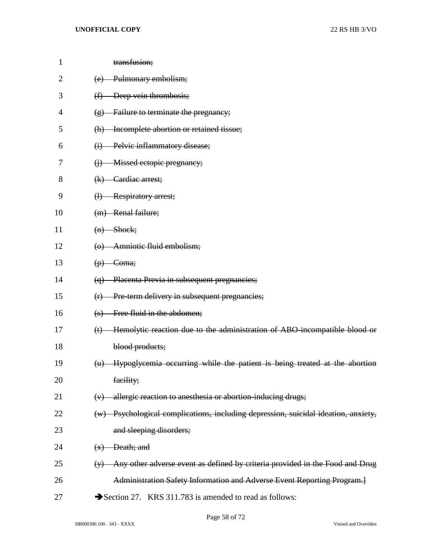| $\mathbf{1}$   | transfusion;                                                                                               |
|----------------|------------------------------------------------------------------------------------------------------------|
| $\overline{2}$ | Pulmonary embolism;<br>(e)                                                                                 |
| 3              | Deep vein thrombosis;<br>(f)                                                                               |
| 4              | Failure to terminate the pregnancy;<br>$\left( g\right)$                                                   |
| 5              | (h) Incomplete abortion or retained tissue;                                                                |
| 6              | Pelvic inflammatory disease;<br>$\bigoplus$                                                                |
| 7              | Missed ectopic pregnancy;<br>$\Theta$                                                                      |
| 8              | Cardiac arrest;<br>(k)                                                                                     |
| 9              | (1) Respiratory arrest;                                                                                    |
| 10             | (m) Renal failure;                                                                                         |
| 11             | $(n)$ Shock;                                                                                               |
| 12             | (o) Amniotic fluid embolism;                                                                               |
| 13             | $(p)$ Coma;                                                                                                |
| 14             | (q) Placenta Previa in subsequent pregnancies;                                                             |
| 15             | (r) Pre term delivery in subsequent pregnancies;                                                           |
| 16             | Free fluid in the abdomen;<br>$\left( s\right)$                                                            |
| 17             | Hemolytic reaction due to the administration of ABO-incompatible blood or<br>$(t)$                         |
| 18             | blood products;                                                                                            |
| 19             | (u) Hypoglycemia occurring while the patient is being treated at the abortion                              |
| 20             | facility;                                                                                                  |
| 21             | allergic reaction to anesthesia or abortion-inducing drugs;<br>(v)                                         |
| 22             | (w) Psychological complications, including depression, suicidal ideation, anxiety,                         |
| 23             | and sleeping disorders;                                                                                    |
| 24             | Death; and<br>(x)                                                                                          |
| 25             | Any other adverse event as defined by criteria provided in the Food and Drug<br>$\left(\frac{1}{2}\right)$ |
| 26             | Administration Safety Information and Adverse Event Reporting Program.]                                    |
| 27             | Section 27. KRS 311.783 is amended to read as follows:                                                     |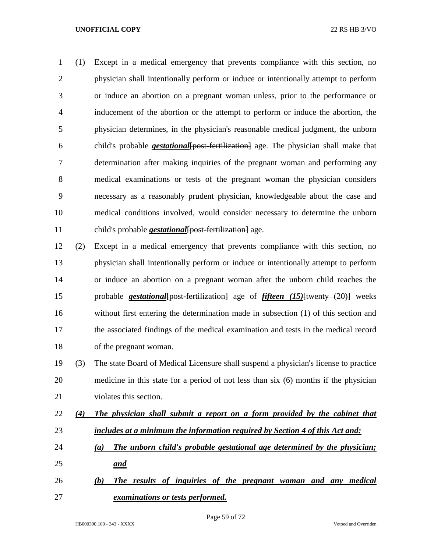(1) Except in a medical emergency that prevents compliance with this section, no physician shall intentionally perform or induce or intentionally attempt to perform or induce an abortion on a pregnant woman unless, prior to the performance or inducement of the abortion or the attempt to perform or induce the abortion, the physician determines, in the physician's reasonable medical judgment, the unborn child's probable *gestational*[post-fertilization] age. The physician shall make that determination after making inquiries of the pregnant woman and performing any medical examinations or tests of the pregnant woman the physician considers necessary as a reasonably prudent physician, knowledgeable about the case and medical conditions involved, would consider necessary to determine the unborn child's probable *gestational*[post-fertilization] age.

 (2) Except in a medical emergency that prevents compliance with this section, no physician shall intentionally perform or induce or intentionally attempt to perform or induce an abortion on a pregnant woman after the unborn child reaches the probable *gestational*[post-fertilization] age of *fifteen (15)*[twenty (20)] weeks without first entering the determination made in subsection (1) of this section and the associated findings of the medical examination and tests in the medical record of the pregnant woman.

 (3) The state Board of Medical Licensure shall suspend a physician's license to practice medicine in this state for a period of not less than six (6) months if the physician violates this section.

- *(4) The physician shall submit a report on a form provided by the cabinet that includes at a minimum the information required by Section 4 of this Act and:*
- *(a) The unborn child's probable gestational age determined by the physician; and*
- *(b) The results of inquiries of the pregnant woman and any medical examinations or tests performed.*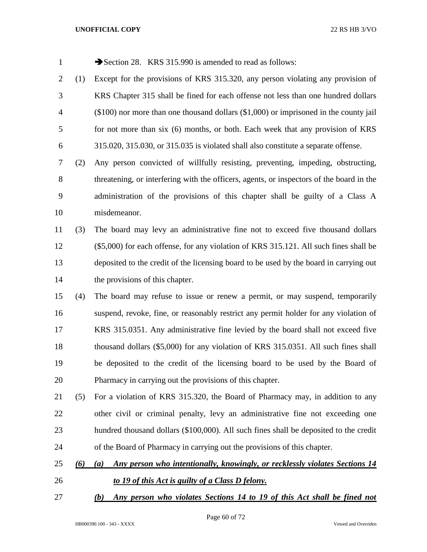| $\mathbf{1}$   |     | Section 28. KRS 315.990 is amended to read as follows:                                     |
|----------------|-----|--------------------------------------------------------------------------------------------|
| $\overline{2}$ | (1) | Except for the provisions of KRS 315.320, any person violating any provision of            |
| 3              |     | KRS Chapter 315 shall be fined for each offense not less than one hundred dollars          |
| 4              |     | $(\$100)$ nor more than one thousand dollars $(\$1,000)$ or imprisoned in the county jail  |
| 5              |     | for not more than six (6) months, or both. Each week that any provision of KRS             |
| 6              |     | $315.020$ , $315.030$ , or $315.035$ is violated shall also constitute a separate offense. |
| 7              | (2) | Any person convicted of willfully resisting, preventing, impeding, obstructing,            |
| 8              |     | threatening, or interfering with the officers, agents, or inspectors of the board in the   |
| 9              |     | administration of the provisions of this chapter shall be guilty of a Class A              |
| 10             |     | misdemeanor.                                                                               |
| 11             | (3) | The board may levy an administrative fine not to exceed five thousand dollars              |
| 12             |     | (\$5,000) for each offense, for any violation of KRS 315.121. All such fines shall be      |
| 13             |     | deposited to the credit of the licensing board to be used by the board in carrying out     |
| 14             |     | the provisions of this chapter.                                                            |
| 15             | (4) | The board may refuse to issue or renew a permit, or may suspend, temporarily               |
| 16             |     | suspend, revoke, fine, or reasonably restrict any permit holder for any violation of       |
| 17             |     | KRS 315.0351. Any administrative fine levied by the board shall not exceed five            |
| 18             |     | thousand dollars (\$5,000) for any violation of KRS 315.0351. All such fines shall         |
| 19             |     | be deposited to the credit of the licensing board to be used by the Board of               |
| 20             |     | Pharmacy in carrying out the provisions of this chapter.                                   |
| 21             | (5) | For a violation of KRS 315.320, the Board of Pharmacy may, in addition to any              |
| 22             |     | other civil or criminal penalty, levy an administrative fine not exceeding one             |
| 23             |     | hundred thousand dollars (\$100,000). All such fines shall be deposited to the credit      |
| 24             |     | of the Board of Pharmacy in carrying out the provisions of this chapter.                   |
| 25             | (6) | Any person who intentionally, knowingly, or recklessly violates Sections 14<br>(a)         |
| 26             |     | to 19 of this Act is guilty of a Class D felony.                                           |
| 27             |     | Any person who violates Sections 14 to 19 of this Act shall be fined not<br>(b)            |

Page 60 of 72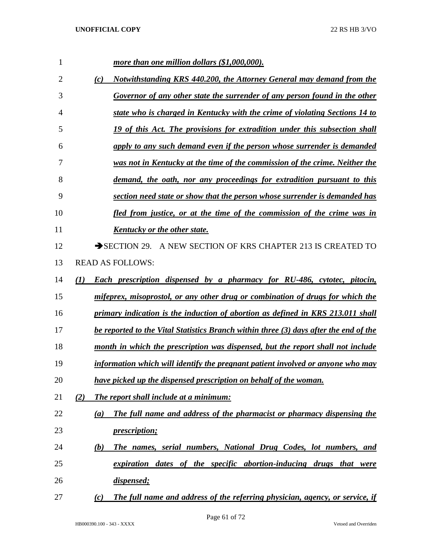| 1  | more than one million dollars (\$1,000,000).                                                       |
|----|----------------------------------------------------------------------------------------------------|
| 2  | Notwithstanding KRS 440.200, the Attorney General may demand from the<br>(c)                       |
| 3  | Governor of any other state the surrender of any person found in the other                         |
| 4  | state who is charged in Kentucky with the crime of violating Sections 14 to                        |
| 5  | 19 of this Act. The provisions for extradition under this subsection shall                         |
| 6  | apply to any such demand even if the person whose surrender is demanded                            |
| 7  | was not in Kentucky at the time of the commission of the crime. Neither the                        |
| 8  | demand, the oath, nor any proceedings for extradition pursuant to this                             |
| 9  | section need state or show that the person whose surrender is demanded has                         |
| 10 | fled from justice, or at the time of the commission of the crime was in                            |
| 11 | Kentucky or the other state.                                                                       |
| 12 | SECTION 29. A NEW SECTION OF KRS CHAPTER 213 IS CREATED TO                                         |
| 13 | <b>READ AS FOLLOWS:</b>                                                                            |
| 14 | <b>Each prescription dispensed by a pharmacy for RU-486, cytotec, pitocin,</b><br>$\mathcal{L}(I)$ |
| 15 | mifeprex, misoprostol, or any other drug or combination of drugs for which the                     |
| 16 | primary indication is the induction of abortion as defined in KRS 213.011 shall                    |
| 17 | be reported to the Vital Statistics Branch within three (3) days after the end of the              |
| 18 | month in which the prescription was dispensed, but the report shall not include                    |
| 19 | information which will identify the pregnant patient involved or anyone who may                    |
| 20 | have picked up the dispensed prescription on behalf of the woman.                                  |
| 21 | The report shall include at a minimum:<br>(2)                                                      |
| 22 | The full name and address of the pharmacist or pharmacy dispensing the<br>(a)                      |
| 23 | <i>prescription;</i>                                                                               |
| 24 | The names, serial numbers, National Drug Codes, lot numbers, and<br>(b)                            |
| 25 | expiration dates of the specific abortion-inducing drugs that were                                 |
| 26 | dispensed;                                                                                         |
| 27 | The full name and address of the referring physician, agency, or service, if<br>(c)                |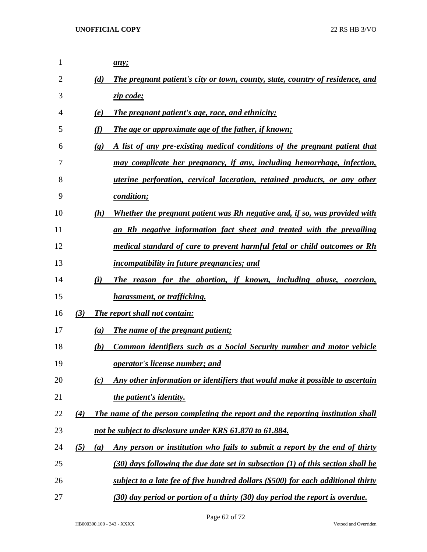| $\mathbf{1}$ |     |                             | any;                                                                             |
|--------------|-----|-----------------------------|----------------------------------------------------------------------------------|
| 2            |     | (d)                         | The pregnant patient's city or town, county, state, country of residence, and    |
| 3            |     |                             | zip code;                                                                        |
| 4            |     | (e)                         | <b>The pregnant patient's age, race, and ethnicity;</b>                          |
| 5            |     | (f)                         | The age or approximate age of the father, if known;                              |
| 6            |     | $\left( \mathbf{g} \right)$ | A list of any pre-existing medical conditions of the pregnant patient that       |
| 7            |     |                             | may complicate her pregnancy, if any, including hemorrhage, infection,           |
| 8            |     |                             | <i>uterine perforation, cervical laceration, retained products, or any other</i> |
| 9            |     |                             | condition;                                                                       |
| 10           |     | (h)                         | Whether the pregnant patient was Rh negative and, if so, was provided with       |
| 11           |     |                             | an Rh negative information fact sheet and treated with the prevailing            |
| 12           |     |                             | medical standard of care to prevent harmful fetal or child outcomes or Rh        |
| 13           |     |                             | <i>incompatibility in future pregnancies; and</i>                                |
| 14           |     | (i)                         | The reason for the abortion, if known, including abuse, coercion,                |
| 15           |     |                             | <u>harassment, or trafficking.</u>                                               |
| 16           | (3) |                             | <b>The report shall not contain:</b>                                             |
| 17           |     | (a)                         | The name of the pregnant patient;                                                |
| 18           |     | (b)                         | Common identifiers such as a Social Security number and motor vehicle            |
| 19           |     |                             | <b><u>operator's license number; and</u></b>                                     |
| 20           |     | (c)                         | Any other information or identifiers that would make it possible to ascertain    |
| 21           |     |                             | <i>the patient's identity.</i>                                                   |
| 22           | (4) |                             | The name of the person completing the report and the reporting institution shall |
| 23           |     |                             | not be subject to disclosure under KRS 61.870 to 61.884.                         |
| 24           | (5) | (a)                         | Any person or institution who fails to submit a report by the end of thirty      |
| 25           |     |                             | (30) days following the due date set in subsection (1) of this section shall be  |
| 26           |     |                             | subject to a late fee of five hundred dollars (\$500) for each additional thirty |
| 27           |     |                             | (30) day period or portion of a thirty (30) day period the report is overdue.    |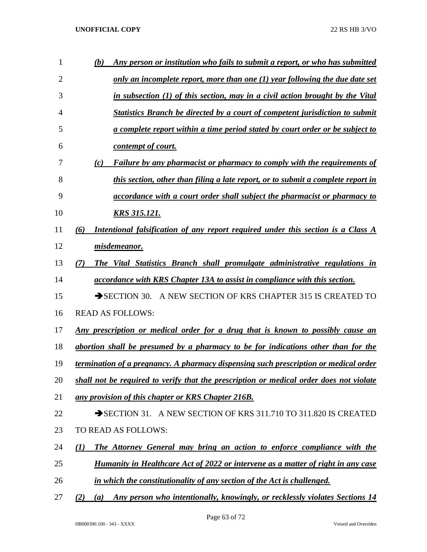| 1  | (b)          | Any person or institution who fails to submit a report, or who has submitted            |
|----|--------------|-----------------------------------------------------------------------------------------|
| 2  |              | only an incomplete report, more than one $(1)$ year following the due date set          |
| 3  |              | in subsection (1) of this section, may in a civil action brought by the Vital           |
| 4  |              | <b>Statistics Branch be directed by a court of competent jurisdiction to submit</b>     |
| 5  |              | <u>a complete report within a time period stated by court order or be subject to</u>    |
| 6  |              | contempt of court.                                                                      |
| 7  | (c)          | <b>Failure by any pharmacist or pharmacy to comply with the requirements of</b>         |
| 8  |              | this section, other than filing a late report, or to submit a complete report in        |
| 9  |              | <i>accordance with a court order shall subject the pharmacist or pharmacy to</i>        |
| 10 |              | <b>KRS 315.121.</b>                                                                     |
| 11 | (6)          | Intentional falsification of any report required under this section is a Class A        |
| 12 |              | misdemeanor.                                                                            |
| 13 | (7)          | The Vital Statistics Branch shall promulgate administrative regulations in              |
| 14 |              | <i>accordance with KRS Chapter 13A to assist in compliance with this section.</i>       |
| 15 |              | $\rightarrow$ SECTION 30.<br>A NEW SECTION OF KRS CHAPTER 315 IS CREATED TO             |
| 16 |              | <b>READ AS FOLLOWS:</b>                                                                 |
| 17 |              | <u>Any prescription or medical order for a drug that is known to possibly cause an</u>  |
| 18 |              | abortion shall be presumed by a pharmacy to be for indications other than for the       |
| 19 |              | termination of a pregnancy. A pharmacy dispensing such prescription or medical order    |
| 20 |              | shall not be required to verify that the prescription or medical order does not violate |
| 21 |              | any provision of this chapter or KRS Chapter 216B.                                      |
| 22 |              | SECTION 31. A NEW SECTION OF KRS 311.710 TO 311.820 IS CREATED                          |
| 23 |              | TO READ AS FOLLOWS:                                                                     |
| 24 | $\mathbf{U}$ | The Attorney General may bring an action to enforce compliance with the                 |
| 25 |              | <b>Humanity in Healthcare Act of 2022 or intervene as a matter of right in any case</b> |
| 26 |              | in which the constitutionality of any section of the Act is challenged.                 |
|    |              |                                                                                         |

*(2) (a) Any person who intentionally, knowingly, or recklessly violates Sections 14*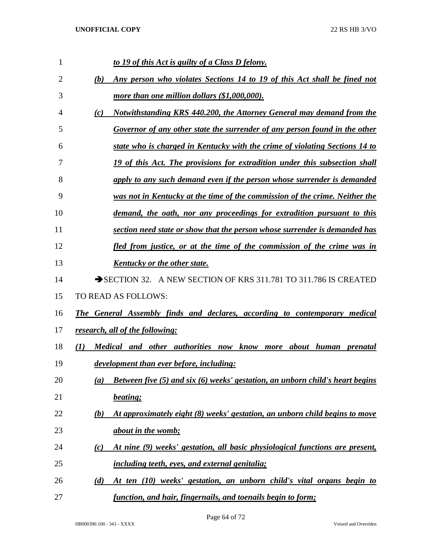| 1              | to 19 of this Act is guilty of a Class D felony.                                            |
|----------------|---------------------------------------------------------------------------------------------|
| $\overline{2}$ | Any person who violates Sections 14 to 19 of this Act shall be fined not<br>(b)             |
| 3              | more than one million dollars (\$1,000,000).                                                |
| 4              | Notwithstanding KRS 440.200, the Attorney General may demand from the<br>(c)                |
| 5              | Governor of any other state the surrender of any person found in the other                  |
| 6              | state who is charged in Kentucky with the crime of violating Sections 14 to                 |
| 7              | 19 of this Act. The provisions for extradition under this subsection shall                  |
| 8              | apply to any such demand even if the person whose surrender is demanded                     |
| 9              | was not in Kentucky at the time of the commission of the crime. Neither the                 |
| 10             | demand, the oath, nor any proceedings for extradition pursuant to this                      |
| 11             | section need state or show that the person whose surrender is demanded has                  |
| 12             | fled from justice, or at the time of the commission of the crime was in                     |
| 13             | <b>Kentucky or the other state.</b>                                                         |
| 14             | SECTION 32. A NEW SECTION OF KRS 311.781 TO 311.786 IS CREATED                              |
| 15             | TO READ AS FOLLOWS:                                                                         |
| 16             | <b>The General Assembly finds and declares, according to contemporary medical</b>           |
| 17             | research, all of the following:                                                             |
| 18             | Medical and other authorities now know more about human prenatal<br>(I)                     |
| 19             | development than ever before, including:                                                    |
| 20             | <b>Between five (5) and six (6) weeks' gestation, an unborn child's heart begins</b><br>(a) |
| 21             | beating;                                                                                    |
| 22             | At approximately eight (8) weeks' gestation, an unborn child begins to move<br>(b)          |
| 23             | <i>about in the womb;</i>                                                                   |
| 24             | At nine (9) weeks' gestation, all basic physiological functions are present,<br>(c)         |
| 25             | <i>including teeth, eyes, and external genitalia;</i>                                       |
| 26             | At ten (10) weeks' gestation, an unborn child's vital organs begin to<br>(d)                |
| 27             | function, and hair, fingernails, and toenails begin to form;                                |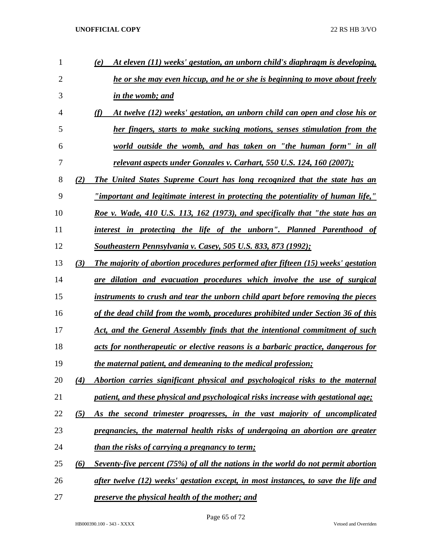| 1  |     | At eleven (11) weeks' gestation, an unborn child's diaphragm is developing,<br>(e)       |
|----|-----|------------------------------------------------------------------------------------------|
| 2  |     | he or she may even hiccup, and he or she is beginning to move about freely               |
| 3  |     | in the womb; and                                                                         |
| 4  |     | (f)<br>At twelve (12) weeks' gestation, an unborn child can open and close his or        |
| 5  |     | her fingers, starts to make sucking motions, senses stimulation from the                 |
| 6  |     | world outside the womb, and has taken on "the human form" in all                         |
| 7  |     | <u>relevant aspects under Gonzales v. Carhart, 550 U.S. 124, 160 (2007);</u>             |
| 8  | (2) | The United States Supreme Court has long recognized that the state has an                |
| 9  |     | <u>"important and legitimate interest in protecting the potentiality of human life,"</u> |
| 10 |     | Roe v. Wade, 410 U.S. 113, 162 (1973), and specifically that "the state has an           |
| 11 |     | interest in protecting the life of the unborn". Planned Parenthood of                    |
| 12 |     | <u>Southeastern Pennsylvania v. Casey, 505 U.S. 833, 873 (1992);</u>                     |
| 13 | (3) | The majority of abortion procedures performed after fifteen (15) weeks' gestation        |
| 14 |     | are dilation and evacuation procedures which involve the use of surgical                 |
| 15 |     | instruments to crush and tear the unborn child apart before removing the pieces          |
| 16 |     | of the dead child from the womb, procedures prohibited under Section 36 of this          |
| 17 |     | Act, and the General Assembly finds that the intentional commitment of such              |
| 18 |     | acts for nontherapeutic or elective reasons is a barbaric practice, dangerous for        |
| 19 |     | the maternal patient, and demeaning to the medical profession;                           |
| 20 | (4) | Abortion carries significant physical and psychological risks to the maternal            |
| 21 |     | patient, and these physical and psychological risks increase with gestational age;       |
| 22 | (5) | As the second trimester progresses, in the vast majority of uncomplicated                |
| 23 |     | pregnancies, the maternal health risks of undergoing an abortion are greater             |
| 24 |     | than the risks of carrying a pregnancy to term;                                          |
| 25 | (6) | Seventy-five percent (75%) of all the nations in the world do not permit abortion        |
| 26 |     | after twelve (12) weeks' gestation except, in most instances, to save the life and       |
| 27 |     | preserve the physical health of the mother; and                                          |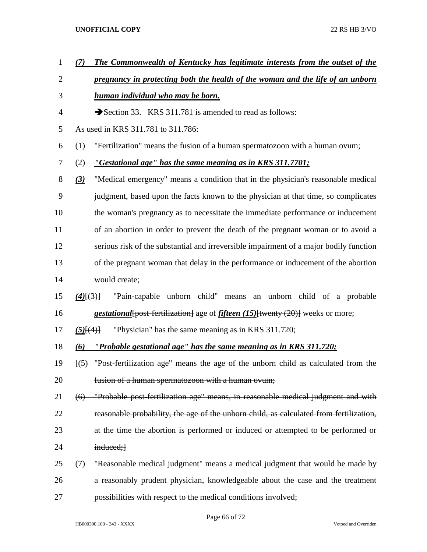- *(7) The Commonwealth of Kentucky has legitimate interests from the outset of the*
- *pregnancy in protecting both the health of the woman and the life of an unborn*
- *human individual who may be born.*
- Section 33. KRS 311.781 is amended to read as follows:
- As used in KRS 311.781 to 311.786:
- (1) "Fertilization" means the fusion of a human spermatozoon with a human ovum;
- (2) *"Gestational age" has the same meaning as in KRS 311.7701;*

 *(3)* "Medical emergency" means a condition that in the physician's reasonable medical judgment, based upon the facts known to the physician at that time, so complicates the woman's pregnancy as to necessitate the immediate performance or inducement of an abortion in order to prevent the death of the pregnant woman or to avoid a serious risk of the substantial and irreversible impairment of a major bodily function of the pregnant woman that delay in the performance or inducement of the abortion would create;

- *(4)*[(3)] "Pain-capable unborn child" means an unborn child of a probable *gestational*[post-fertilization] age of *fifteen (15)*[twenty (20)] weeks or more;
- *(5)*[(4)] "Physician" has the same meaning as in KRS 311.720;
- *(6) "Probable gestational age" has the same meaning as in KRS 311.720;*

 [(5) "Post-fertilization age" means the age of the unborn child as calculated from the fusion of a human spermatozoon with a human ovum;

- (6) "Probable post-fertilization age" means, in reasonable medical judgment and with reasonable probability, the age of the unborn child, as calculated from fertilization, 23 at the time the abortion is performed or induced or attempted to be performed or 24 induced;
- (7) "Reasonable medical judgment" means a medical judgment that would be made by a reasonably prudent physician, knowledgeable about the case and the treatment possibilities with respect to the medical conditions involved;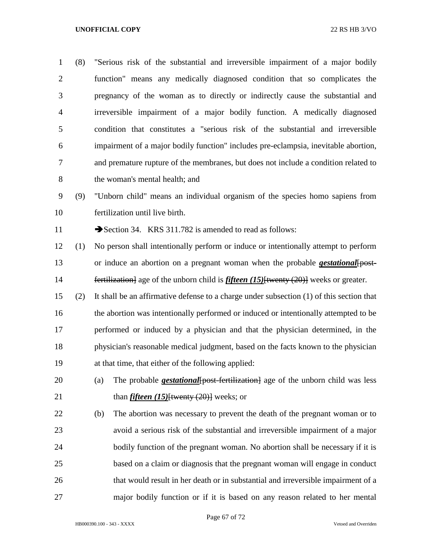(8) "Serious risk of the substantial and irreversible impairment of a major bodily function" means any medically diagnosed condition that so complicates the pregnancy of the woman as to directly or indirectly cause the substantial and irreversible impairment of a major bodily function. A medically diagnosed condition that constitutes a "serious risk of the substantial and irreversible impairment of a major bodily function" includes pre-eclampsia, inevitable abortion, and premature rupture of the membranes, but does not include a condition related to the woman's mental health; and (9) "Unborn child" means an individual organism of the species homo sapiens from fertilization until live birth. 11 Section 34. KRS 311.782 is amended to read as follows: (1) No person shall intentionally perform or induce or intentionally attempt to perform or induce an abortion on a pregnant woman when the probable *gestational*[post- fertilization] age of the unborn child is *fifteen (15)*[twenty (20)] weeks or greater. (2) It shall be an affirmative defense to a charge under subsection (1) of this section that 16 the abortion was intentionally performed or induced or intentionally attempted to be performed or induced by a physician and that the physician determined, in the physician's reasonable medical judgment, based on the facts known to the physician at that time, that either of the following applied: (a) The probable *gestational*[post-fertilization] age of the unborn child was less 21 than *fifteen (15)*<sup>{{wenty (20}}</sup> weeks; or (b) The abortion was necessary to prevent the death of the pregnant woman or to avoid a serious risk of the substantial and irreversible impairment of a major 24 bodily function of the pregnant woman. No abortion shall be necessary if it is based on a claim or diagnosis that the pregnant woman will engage in conduct that would result in her death or in substantial and irreversible impairment of a major bodily function or if it is based on any reason related to her mental

HB000390.100 - 343 - XXXX Vetoed and Overriden

Page 67 of 72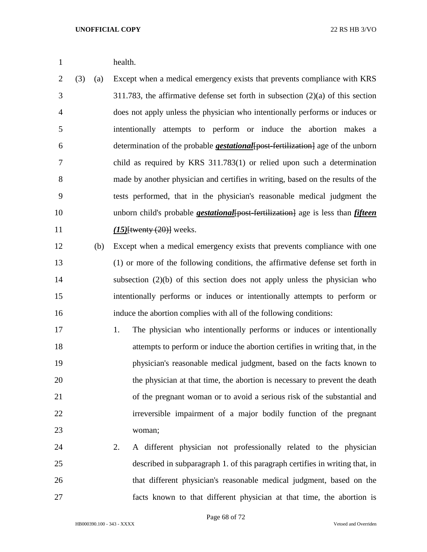health.

 (3) (a) Except when a medical emergency exists that prevents compliance with KRS 311.783, the affirmative defense set forth in subsection (2)(a) of this section does not apply unless the physician who intentionally performs or induces or intentionally attempts to perform or induce the abortion makes a determination of the probable *gestational*[post-fertilization] age of the unborn child as required by KRS 311.783(1) or relied upon such a determination made by another physician and certifies in writing, based on the results of the tests performed, that in the physician's reasonable medical judgment the 10 unborn child's probable *gestational* [post-fertilization] age is less than *fifteen (15)*[twenty (20)] weeks.

- (b) Except when a medical emergency exists that prevents compliance with one (1) or more of the following conditions, the affirmative defense set forth in subsection (2)(b) of this section does not apply unless the physician who intentionally performs or induces or intentionally attempts to perform or induce the abortion complies with all of the following conditions:
- 17 1. The physician who intentionally performs or induces or intentionally attempts to perform or induce the abortion certifies in writing that, in the physician's reasonable medical judgment, based on the facts known to the physician at that time, the abortion is necessary to prevent the death of the pregnant woman or to avoid a serious risk of the substantial and irreversible impairment of a major bodily function of the pregnant woman;
- 2. A different physician not professionally related to the physician described in subparagraph 1. of this paragraph certifies in writing that, in that different physician's reasonable medical judgment, based on the facts known to that different physician at that time, the abortion is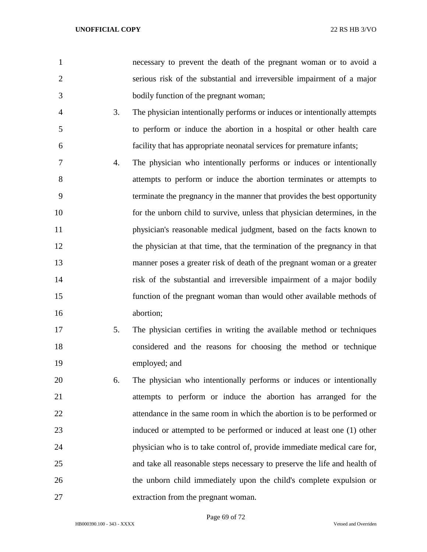- necessary to prevent the death of the pregnant woman or to avoid a serious risk of the substantial and irreversible impairment of a major bodily function of the pregnant woman;
- 3. The physician intentionally performs or induces or intentionally attempts to perform or induce the abortion in a hospital or other health care facility that has appropriate neonatal services for premature infants;
- 4. The physician who intentionally performs or induces or intentionally attempts to perform or induce the abortion terminates or attempts to terminate the pregnancy in the manner that provides the best opportunity for the unborn child to survive, unless that physician determines, in the physician's reasonable medical judgment, based on the facts known to 12 the physician at that time, that the termination of the pregnancy in that manner poses a greater risk of death of the pregnant woman or a greater risk of the substantial and irreversible impairment of a major bodily function of the pregnant woman than would other available methods of abortion;
- 5. The physician certifies in writing the available method or techniques considered and the reasons for choosing the method or technique employed; and
- 6. The physician who intentionally performs or induces or intentionally attempts to perform or induce the abortion has arranged for the attendance in the same room in which the abortion is to be performed or induced or attempted to be performed or induced at least one (1) other physician who is to take control of, provide immediate medical care for, and take all reasonable steps necessary to preserve the life and health of the unborn child immediately upon the child's complete expulsion or extraction from the pregnant woman.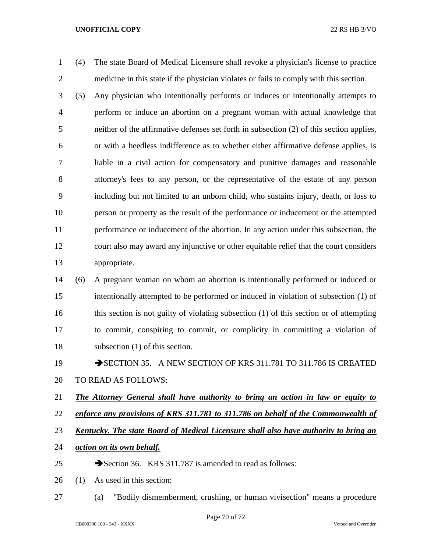(4) The state Board of Medical Licensure shall revoke a physician's license to practice medicine in this state if the physician violates or fails to comply with this section.

 (5) Any physician who intentionally performs or induces or intentionally attempts to perform or induce an abortion on a pregnant woman with actual knowledge that neither of the affirmative defenses set forth in subsection (2) of this section applies, or with a heedless indifference as to whether either affirmative defense applies, is liable in a civil action for compensatory and punitive damages and reasonable attorney's fees to any person, or the representative of the estate of any person including but not limited to an unborn child, who sustains injury, death, or loss to person or property as the result of the performance or inducement or the attempted performance or inducement of the abortion. In any action under this subsection, the court also may award any injunctive or other equitable relief that the court considers appropriate.

- (6) A pregnant woman on whom an abortion is intentionally performed or induced or intentionally attempted to be performed or induced in violation of subsection (1) of this section is not guilty of violating subsection (1) of this section or of attempting to commit, conspiring to commit, or complicity in committing a violation of subsection (1) of this section.
- 19 SECTION 35. A NEW SECTION OF KRS 311.781 TO 311.786 IS CREATED TO READ AS FOLLOWS:
- *The Attorney General shall have authority to bring an action in law or equity to*
- *enforce any provisions of KRS 311.781 to 311.786 on behalf of the Commonwealth of*
- *Kentucky. The state Board of Medical Licensure shall also have authority to bring an*
- *action on its own behalf.*
- 25  $\rightarrow$  Section 36. KRS 311.787 is amended to read as follows:
- (1) As used in this section:
- (a) "Bodily dismemberment, crushing, or human vivisection" means a procedure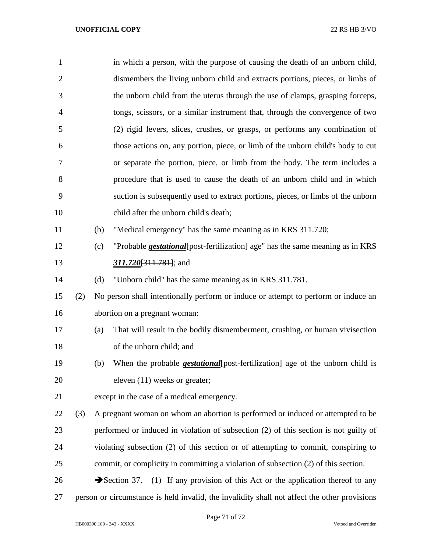| 1              |                                                                                              |                               | in which a person, with the purpose of causing the death of an unborn child,                |  |
|----------------|----------------------------------------------------------------------------------------------|-------------------------------|---------------------------------------------------------------------------------------------|--|
| $\overline{2}$ |                                                                                              |                               | dismembers the living unborn child and extracts portions, pieces, or limbs of               |  |
| 3              |                                                                                              |                               | the unborn child from the uterus through the use of clamps, grasping forceps,               |  |
| $\overline{4}$ |                                                                                              |                               | tongs, scissors, or a similar instrument that, through the convergence of two               |  |
| 5              |                                                                                              |                               | (2) rigid levers, slices, crushes, or grasps, or performs any combination of                |  |
| 6              |                                                                                              |                               | those actions on, any portion, piece, or limb of the unborn child's body to cut             |  |
| 7              |                                                                                              |                               | or separate the portion, piece, or limb from the body. The term includes a                  |  |
| 8              |                                                                                              |                               | procedure that is used to cause the death of an unborn child and in which                   |  |
| 9              |                                                                                              |                               | suction is subsequently used to extract portions, pieces, or limbs of the unborn            |  |
| 10             |                                                                                              |                               | child after the unborn child's death;                                                       |  |
| 11             |                                                                                              | (b)                           | "Medical emergency" has the same meaning as in KRS 311.720;                                 |  |
| 12             |                                                                                              | (c)                           | "Probable <i>gestational</i> [post-fertilization] age" has the same meaning as in KRS       |  |
| 13             |                                                                                              |                               | 311.720 <del>[311.781]</del> ; and                                                          |  |
| 14             |                                                                                              | (d)                           | "Unborn child" has the same meaning as in KRS 311.781.                                      |  |
| 15             | (2)                                                                                          |                               | No person shall intentionally perform or induce or attempt to perform or induce an          |  |
| 16             |                                                                                              | abortion on a pregnant woman: |                                                                                             |  |
| 17             |                                                                                              | (a)                           | That will result in the bodily dismemberment, crushing, or human vivisection                |  |
| 18             |                                                                                              |                               | of the unborn child; and                                                                    |  |
| 19             |                                                                                              | (b)                           | When the probable <b><i>gestational</i></b> {post-fertilization} age of the unborn child is |  |
| 20             |                                                                                              |                               | eleven (11) weeks or greater;                                                               |  |
| 21             |                                                                                              |                               | except in the case of a medical emergency.                                                  |  |
| 22             | (3)                                                                                          |                               | A pregnant woman on whom an abortion is performed or induced or attempted to be             |  |
| 23             |                                                                                              |                               | performed or induced in violation of subsection (2) of this section is not guilty of        |  |
| 24             |                                                                                              |                               | violating subsection (2) of this section or of attempting to commit, conspiring to          |  |
| 25             |                                                                                              |                               | commit, or complicity in committing a violation of subsection (2) of this section.          |  |
| 26             |                                                                                              |                               | Section 37.<br>(1) If any provision of this Act or the application thereof to any           |  |
| 27             | person or circumstance is held invalid, the invalidity shall not affect the other provisions |                               |                                                                                             |  |

Page 71 of 72